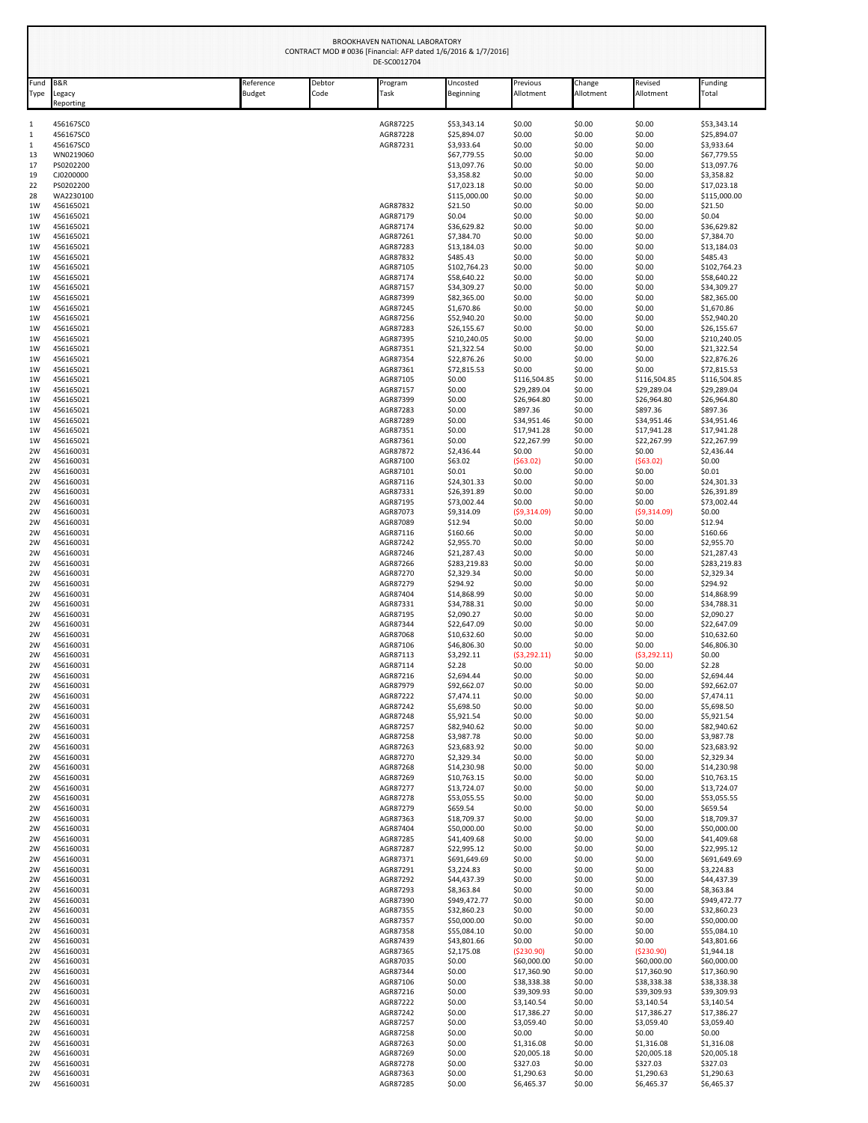|               |                                       |                            | CONTRACT MOD # 0036 [Financial: AFP dated 1/6/2016 & 1/7/2016] | BROOKHAVEN NATIONAL LABORATORY<br>DE-SC0012704 |                             |                            |                     |                            |                             |
|---------------|---------------------------------------|----------------------------|----------------------------------------------------------------|------------------------------------------------|-----------------------------|----------------------------|---------------------|----------------------------|-----------------------------|
| Fund<br>Type  | <b>B&amp;R</b><br>Legacy<br>Reporting | Reference<br><b>Budget</b> | Debtor<br>Code                                                 | Program<br>Task                                | Uncosted<br>Beginning       | Previous<br>Allotment      | Change<br>Allotment | Revised<br>Allotment       | Funding<br>Total            |
| $\mathbf{1}$  | 456167SC0                             |                            |                                                                | AGR87225                                       | \$53,343.14                 | \$0.00                     | \$0.00              | \$0.00                     | \$53,343.14                 |
| $\mathbf 1$   | 456167SC0                             |                            |                                                                | AGR87228                                       | \$25,894.07                 | \$0.00                     | \$0.00              | \$0.00                     | \$25,894.07                 |
| $\,1\,$<br>13 | 456167SC0<br>WN0219060                |                            |                                                                | AGR87231                                       | \$3,933.64<br>\$67,779.55   | \$0.00<br>\$0.00           | \$0.00<br>\$0.00    | \$0.00<br>\$0.00           | \$3,933.64<br>\$67,779.55   |
| 17            | PS0202200                             |                            |                                                                |                                                | \$13,097.76                 | \$0.00                     | \$0.00              | \$0.00                     | \$13,097.76                 |
| 19            | CJ0200000                             |                            |                                                                |                                                | \$3,358.82                  | \$0.00                     | \$0.00              | \$0.00                     | \$3,358.82                  |
| 22<br>28      | PS0202200<br>WA2230100                |                            |                                                                |                                                | \$17,023.18<br>\$115,000.00 | \$0.00<br>\$0.00           | \$0.00<br>\$0.00    | \$0.00<br>\$0.00           | \$17,023.18<br>\$115,000.00 |
| 1W            | 456165021                             |                            |                                                                | AGR87832                                       | \$21.50                     | \$0.00                     | \$0.00              | \$0.00                     | \$21.50                     |
| 1W            | 456165021                             |                            |                                                                | AGR87179                                       | \$0.04                      | \$0.00                     | \$0.00              | \$0.00                     | \$0.04                      |
| 1W<br>1W      | 456165021<br>456165021                |                            |                                                                | AGR87174<br>AGR87261                           | \$36,629.82<br>\$7,384.70   | \$0.00<br>\$0.00           | \$0.00<br>\$0.00    | \$0.00<br>\$0.00           | \$36,629.82<br>\$7,384.70   |
| 1W            | 456165021                             |                            |                                                                | AGR87283                                       | \$13,184.03                 | \$0.00                     | \$0.00              | \$0.00                     | \$13,184.03                 |
| 1W            | 456165021                             |                            |                                                                | AGR87832                                       | \$485.43                    | \$0.00                     | \$0.00              | \$0.00                     | \$485.43                    |
| 1W<br>1W      | 456165021<br>456165021                |                            |                                                                | AGR87105<br>AGR87174                           | \$102,764.23<br>\$58,640.22 | \$0.00<br>\$0.00           | \$0.00<br>\$0.00    | \$0.00<br>\$0.00           | \$102,764.23<br>\$58,640.22 |
| 1W            | 456165021                             |                            |                                                                | AGR87157                                       | \$34,309.27                 | \$0.00                     | \$0.00              | \$0.00                     | \$34,309.27                 |
| 1W            | 456165021                             |                            |                                                                | AGR87399                                       | \$82,365.00                 | \$0.00                     | \$0.00              | \$0.00                     | \$82,365.00                 |
| 1W            | 456165021                             |                            |                                                                | AGR87245                                       | \$1,670.86                  | \$0.00                     | \$0.00              | \$0.00                     | \$1,670.86                  |
| 1W<br>1W      | 456165021<br>456165021                |                            |                                                                | AGR87256<br>AGR87283                           | \$52,940.20<br>\$26,155.67  | \$0.00<br>\$0.00           | \$0.00<br>\$0.00    | \$0.00<br>\$0.00           | \$52,940.20<br>\$26,155.67  |
| 1W            | 456165021                             |                            |                                                                | AGR87395                                       | \$210,240.05                | \$0.00                     | \$0.00              | \$0.00                     | \$210,240.05                |
| 1W            | 456165021                             |                            |                                                                | AGR87351                                       | \$21,322.54                 | \$0.00                     | \$0.00              | \$0.00                     | \$21,322.54                 |
| 1W<br>1W      | 456165021<br>456165021                |                            |                                                                | AGR87354<br>AGR87361                           | \$22,876.26<br>\$72,815.53  | \$0.00<br>\$0.00           | \$0.00<br>\$0.00    | \$0.00<br>\$0.00           | \$22,876.26<br>\$72,815.53  |
| 1W            | 456165021                             |                            |                                                                | AGR87105                                       | \$0.00                      | \$116,504.85               | \$0.00              | \$116,504.85               | \$116,504.85                |
| 1W            | 456165021                             |                            |                                                                | AGR87157                                       | \$0.00                      | \$29,289.04                | \$0.00              | \$29,289.04                | \$29,289.04                 |
| 1W<br>1W      | 456165021<br>456165021                |                            |                                                                | AGR87399<br>AGR87283                           | \$0.00<br>\$0.00            | \$26,964.80<br>\$897.36    | \$0.00<br>\$0.00    | \$26,964.80<br>\$897.36    | \$26,964.80<br>\$897.36     |
| 1W            | 456165021                             |                            |                                                                | AGR87289                                       | \$0.00                      | \$34,951.46                | \$0.00              | \$34,951.46                | \$34,951.46                 |
| 1W            | 456165021                             |                            |                                                                | AGR87351                                       | \$0.00                      | \$17,941.28                | \$0.00              | \$17,941.28                | \$17,941.28                 |
| 1W<br>2W      | 456165021<br>456160031                |                            |                                                                | AGR87361<br>AGR87872                           | \$0.00<br>\$2,436.44        | \$22,267.99<br>\$0.00      | \$0.00<br>\$0.00    | \$22,267.99<br>\$0.00      | \$22,267.99<br>\$2,436.44   |
| 2W            | 456160031                             |                            |                                                                | AGR87100                                       | \$63.02                     | (563.02)                   | \$0.00              | (563.02)                   | \$0.00                      |
| 2W            | 456160031                             |                            |                                                                | AGR87101                                       | \$0.01                      | \$0.00                     | \$0.00              | \$0.00                     | \$0.01                      |
| 2W<br>2W      | 456160031<br>456160031                |                            |                                                                | AGR87116<br>AGR87331                           | \$24,301.33<br>\$26,391.89  | \$0.00<br>\$0.00           | \$0.00<br>\$0.00    | \$0.00<br>\$0.00           | \$24,301.33<br>\$26,391.89  |
| 2W            | 456160031                             |                            |                                                                | AGR87195                                       | \$73,002.44                 | \$0.00                     | \$0.00              | \$0.00                     | \$73,002.44                 |
| 2W            | 456160031                             |                            |                                                                | AGR87073                                       | \$9,314.09                  | (59, 314.09)               | \$0.00              | (59,314.09)                | \$0.00                      |
| 2W<br>2W      | 456160031<br>456160031                |                            |                                                                | AGR87089<br>AGR87116                           | \$12.94<br>\$160.66         | \$0.00<br>\$0.00           | \$0.00<br>\$0.00    | \$0.00<br>\$0.00           | \$12.94<br>\$160.66         |
| 2W            | 456160031                             |                            |                                                                | AGR87242                                       | \$2,955.70                  | \$0.00                     | \$0.00              | \$0.00                     | \$2,955.70                  |
| 2W            | 456160031                             |                            |                                                                | AGR87246                                       | \$21,287.43                 | \$0.00                     | \$0.00              | \$0.00                     | \$21,287.43                 |
| 2W<br>2W      | 456160031<br>456160031                |                            |                                                                | AGR87266<br>AGR87270                           | \$283,219.83<br>\$2,329.34  | \$0.00<br>\$0.00           | \$0.00<br>\$0.00    | \$0.00<br>\$0.00           | \$283,219.83<br>\$2,329.34  |
| 2W            | 456160031                             |                            |                                                                | AGR87279                                       | \$294.92                    | \$0.00                     | \$0.00              | \$0.00                     | \$294.92                    |
| 2W            | 456160031                             |                            |                                                                | AGR87404                                       | \$14,868.99                 | \$0.00                     | \$0.00              | \$0.00                     | \$14,868.99                 |
| 2W<br>2W      | 456160031<br>456160031                |                            |                                                                | AGR87331<br>AGR87195                           | \$34,788.31<br>\$2,090.27   | \$0.00<br>\$0.00           | \$0.00<br>\$0.00    | \$0.00<br>\$0.00           | \$34,788.31<br>\$2,090.27   |
| 2W            | 456160031                             |                            |                                                                | AGR87344                                       | \$22,647.09                 | \$0.00                     | \$0.00              | \$0.00                     | \$22,647.09                 |
| 2W            | 456160031                             |                            |                                                                | AGR87068                                       | \$10,632.60                 | \$0.00                     | \$0.00              | \$0.00                     | \$10,632.60                 |
| 2W            | 456160031                             |                            |                                                                | AGR87106<br>AGR87113                           | \$46,806.30<br>\$3,292.11   | \$0.00<br>(53, 292.11)     | \$0.00<br>\$0.00    | \$0.00<br>(53, 292.11)     | \$46,806.30<br>\$0.00       |
| 2W<br>2W      | 456160031<br>456160031                |                            |                                                                | AGR87114                                       | \$2.28                      | \$0.00                     | \$0.00              | \$0.00                     | \$2.28                      |
| 2W            | 456160031                             |                            |                                                                | AGR87216                                       | \$2,694.44                  | \$0.00                     | \$0.00              | \$0.00                     | \$2,694.44                  |
| 2W            | 456160031                             |                            |                                                                | AGR87979                                       | \$92,662.07                 | \$0.00                     | \$0.00              | \$0.00                     | \$92,662.07                 |
| 2W<br>2W      | 456160031<br>456160031                |                            |                                                                | AGR87222<br>AGR87242                           | \$7,474.11<br>\$5,698.50    | \$0.00<br>\$0.00           | \$0.00<br>\$0.00    | \$0.00<br>\$0.00           | \$7,474.11<br>\$5,698.50    |
| 2W            | 456160031                             |                            |                                                                | AGR87248                                       | \$5,921.54                  | \$0.00                     | \$0.00              | \$0.00                     | \$5,921.54                  |
| 2W            | 456160031                             |                            |                                                                | AGR87257                                       | \$82,940.62                 | \$0.00                     | \$0.00              | \$0.00                     | \$82,940.62                 |
| 2W<br>2W      | 456160031<br>456160031                |                            |                                                                | AGR87258<br>AGR87263                           | \$3,987.78<br>\$23,683.92   | \$0.00<br>\$0.00           | \$0.00<br>\$0.00    | \$0.00<br>\$0.00           | \$3,987.78<br>\$23,683.92   |
| 2W            | 456160031                             |                            |                                                                | AGR87270                                       | \$2,329.34                  | \$0.00                     | \$0.00              | \$0.00                     | \$2,329.34                  |
| 2W            | 456160031                             |                            |                                                                | AGR87268                                       | \$14,230.98                 | \$0.00                     | \$0.00              | \$0.00                     | \$14,230.98                 |
| 2W<br>2W      | 456160031<br>456160031                |                            |                                                                | AGR87269<br>AGR87277                           | \$10,763.15<br>\$13,724.07  | \$0.00<br>\$0.00           | \$0.00<br>\$0.00    | \$0.00<br>\$0.00           | \$10,763.15<br>\$13,724.07  |
| 2W            | 456160031                             |                            |                                                                | AGR87278                                       | \$53,055.55                 | \$0.00                     | \$0.00              | \$0.00                     | \$53,055.55                 |
| 2W            | 456160031                             |                            |                                                                | AGR87279                                       | \$659.54                    | \$0.00                     | \$0.00              | \$0.00                     | \$659.54                    |
| 2W<br>2W      | 456160031<br>456160031                |                            |                                                                | AGR87363<br>AGR87404                           | \$18,709.37<br>\$50,000.00  | \$0.00<br>\$0.00           | \$0.00<br>\$0.00    | \$0.00<br>\$0.00           | \$18,709.37<br>\$50,000.00  |
| 2W            | 456160031                             |                            |                                                                | AGR87285                                       | \$41,409.68                 | \$0.00                     | \$0.00              | \$0.00                     | \$41,409.68                 |
| 2W            | 456160031                             |                            |                                                                | AGR87287                                       | \$22,995.12                 | \$0.00                     | \$0.00              | \$0.00                     | \$22,995.12                 |
| 2W<br>2W      | 456160031<br>456160031                |                            |                                                                | AGR87371<br>AGR87291                           | \$691,649.69<br>\$3,224.83  | \$0.00<br>\$0.00           | \$0.00<br>\$0.00    | \$0.00<br>\$0.00           | \$691,649.69<br>\$3,224.83  |
| 2W            | 456160031                             |                            |                                                                | AGR87292                                       | \$44,437.39                 | \$0.00                     | \$0.00              | \$0.00                     | \$44,437.39                 |
| 2W            | 456160031                             |                            |                                                                | AGR87293                                       | \$8,363.84                  | \$0.00                     | \$0.00              | \$0.00                     | \$8,363.84                  |
| 2W            | 456160031                             |                            |                                                                | AGR87390                                       | \$949,472.77                | \$0.00                     | \$0.00              | \$0.00                     | \$949,472.77                |
| 2W<br>2W      | 456160031<br>456160031                |                            |                                                                | AGR87355<br>AGR87357                           | \$32,860.23<br>\$50,000.00  | \$0.00<br>\$0.00           | \$0.00<br>\$0.00    | \$0.00<br>\$0.00           | \$32,860.23<br>\$50,000.00  |
| 2W            | 456160031                             |                            |                                                                | AGR87358                                       | \$55,084.10                 | \$0.00                     | \$0.00              | \$0.00                     | \$55,084.10                 |
| 2W            | 456160031                             |                            |                                                                | AGR87439                                       | \$43,801.66                 | \$0.00                     | \$0.00              | \$0.00                     | \$43,801.66                 |
| 2W<br>2W      | 456160031<br>456160031                |                            |                                                                | AGR87365<br>AGR87035                           | \$2,175.08<br>\$0.00        | ( \$230.90)<br>\$60,000.00 | \$0.00<br>\$0.00    | ( \$230.90)<br>\$60,000.00 | \$1,944.18<br>\$60,000.00   |
| 2W            | 456160031                             |                            |                                                                | AGR87344                                       | \$0.00                      | \$17,360.90                | \$0.00              | \$17,360.90                | \$17,360.90                 |
| 2W            | 456160031                             |                            |                                                                | AGR87106                                       | \$0.00                      | \$38,338.38                | \$0.00              | \$38,338.38                | \$38,338.38                 |
| 2W            | 456160031                             |                            |                                                                | AGR87216                                       | \$0.00                      | \$39,309.93                | \$0.00              | \$39,309.93                | \$39,309.93                 |
| 2W<br>2W      | 456160031<br>456160031                |                            |                                                                | AGR87222<br>AGR87242                           | \$0.00<br>\$0.00            | \$3,140.54<br>\$17,386.27  | \$0.00<br>\$0.00    | \$3,140.54<br>\$17,386.27  | \$3,140.54<br>\$17,386.27   |
| 2W            | 456160031                             |                            |                                                                | AGR87257                                       | \$0.00                      | \$3,059.40                 | \$0.00              | \$3,059.40                 | \$3,059.40                  |
| 2W            | 456160031                             |                            |                                                                | AGR87258                                       | \$0.00                      | \$0.00                     | \$0.00              | \$0.00                     | \$0.00                      |
| 2W<br>2W      | 456160031<br>456160031                |                            |                                                                | AGR87263<br>AGR87269                           | \$0.00<br>\$0.00            | \$1,316.08<br>\$20,005.18  | \$0.00<br>\$0.00    | \$1,316.08<br>\$20,005.18  | \$1,316.08<br>\$20,005.18   |
| 2W            | 456160031                             |                            |                                                                | AGR87278                                       | \$0.00                      | \$327.03                   | \$0.00              | \$327.03                   | \$327.03                    |
| 2W            | 456160031                             |                            |                                                                | AGR87363                                       | \$0.00                      | \$1,290.63                 | \$0.00              | \$1,290.63                 | \$1,290.63                  |
| 2W            | 456160031                             |                            |                                                                | AGR87285                                       | \$0.00                      | \$6,465.37                 | \$0.00              | \$6,465.37                 | \$6,465.37                  |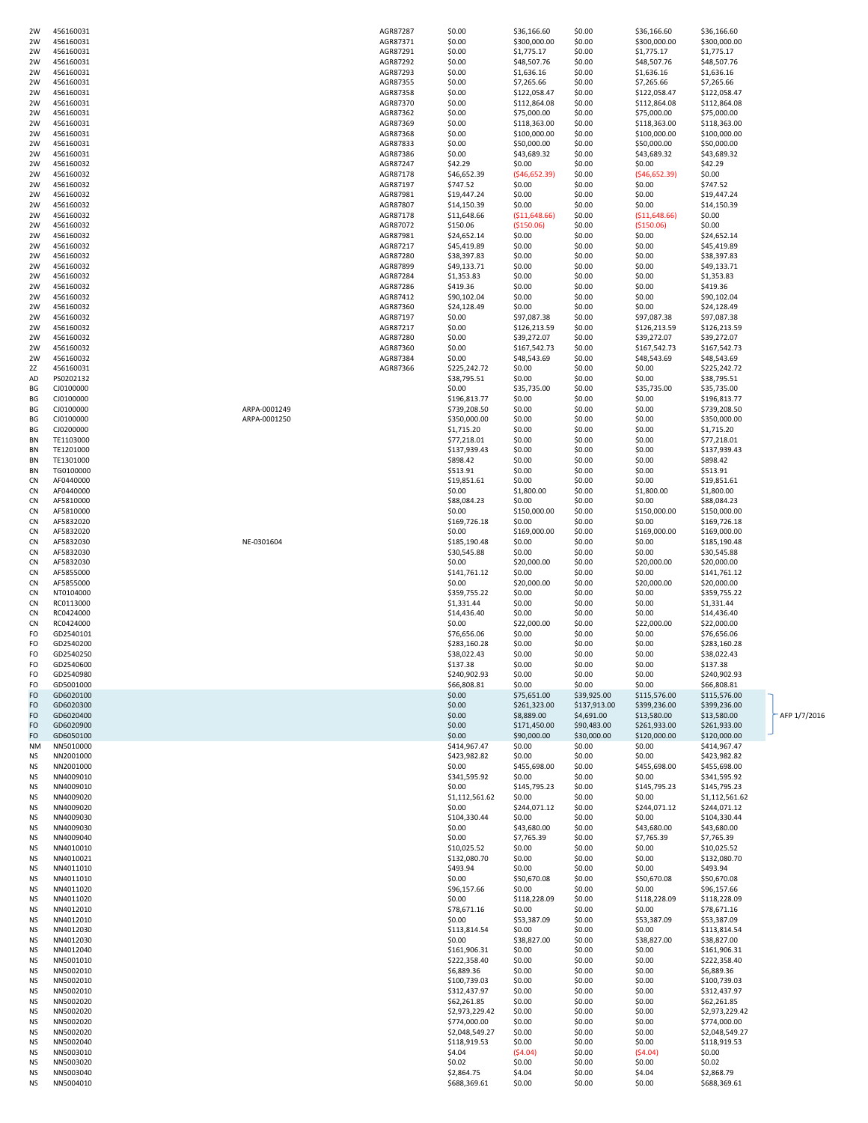| 2W              | 456160031              |              | AGR87287             | \$0.00                      | \$36,166.60               | \$0.00           | 536,166.60                | \$36,166.60                 |              |
|-----------------|------------------------|--------------|----------------------|-----------------------------|---------------------------|------------------|---------------------------|-----------------------------|--------------|
| 2W              | 456160031              |              | AGR87371             | \$0.00<br>\$0.00            | \$300,000.00              | \$0.00<br>\$0.00 | \$300,000.00              | \$300,000.00                |              |
| 2W<br>2W        | 456160031<br>456160031 |              | AGR87291<br>AGR87292 | \$0.00                      | \$1,775.17<br>\$48,507.76 | \$0.00           | \$1,775.17<br>\$48,507.76 | \$1,775.17<br>\$48,507.76   |              |
| 2W              | 456160031              |              | AGR87293             | \$0.00                      | \$1,636.16                | \$0.00           | \$1,636.16                | \$1,636.16                  |              |
| 2W              | 456160031              |              | AGR87355             | \$0.00                      | \$7,265.66                | \$0.00           | \$7,265.66                | \$7,265.66                  |              |
| 2W              | 456160031              |              | AGR87358             | \$0.00                      | \$122,058.47              | \$0.00           | \$122,058.47              | \$122,058.47                |              |
| 2W              | 456160031              |              | AGR87370             | \$0.00                      | \$112,864.08              | \$0.00           | \$112,864.08              | \$112,864.08                |              |
| 2W              | 456160031              |              | AGR87362             | \$0.00                      | \$75,000.00               | \$0.00           | \$75,000.00               | \$75,000.00                 |              |
| 2W              | 456160031              |              | AGR87369             | \$0.00                      | \$118,363.00              | \$0.00           | \$118,363.00              | \$118,363.00                |              |
| 2W              | 456160031              |              | AGR87368             | \$0.00                      | \$100,000.00              | \$0.00           | \$100,000.00              | \$100,000.00                |              |
| 2W              | 456160031              |              | AGR87833             | \$0.00                      | \$50,000.00               | \$0.00           | \$50,000.00               | \$50,000.00                 |              |
| 2W              | 456160031              |              | AGR87386             | \$0.00                      | \$43,689.32               | \$0.00           | \$43,689.32               | \$43,689.32                 |              |
| 2W              | 456160032              |              | AGR87247             | \$42.29                     | \$0.00                    | \$0.00           | \$0.00                    | \$42.29                     |              |
| 2W              | 456160032              |              | AGR87178             | \$46,652.39                 | (546, 652.39)             | \$0.00           | (546, 652.39)             | \$0.00                      |              |
| 2W              | 456160032              |              | AGR87197             | \$747.52                    | \$0.00                    | \$0.00           | \$0.00                    | \$747.52                    |              |
| 2W              | 456160032              |              | AGR87981             | \$19,447.24                 | \$0.00                    | \$0.00           | \$0.00                    | \$19,447.24                 |              |
| 2W              | 456160032              |              | AGR87807             | \$14,150.39                 | \$0.00                    | \$0.00           | \$0.00                    | \$14,150.39                 |              |
| 2W              | 456160032              |              | AGR87178             | \$11,648.66                 | ( \$11,648.66)            | \$0.00           | ( \$11,648.66)            | \$0.00                      |              |
| 2W              | 456160032              |              | AGR87072             | \$150.06                    | ( \$150.06)               | \$0.00           | ( \$150.06)               | \$0.00                      |              |
| 2W              | 456160032              |              | AGR87981             | \$24,652.14                 | \$0.00                    | \$0.00           | \$0.00                    | \$24,652.14                 |              |
| 2W              | 456160032              |              | AGR87217             | \$45,419.89                 | \$0.00                    | \$0.00           | \$0.00                    | \$45,419.89                 |              |
| 2W              | 456160032              |              | AGR87280             | \$38,397.83                 | \$0.00                    | \$0.00           | \$0.00                    | \$38,397.83                 |              |
| 2W              | 456160032              |              | AGR87899             | \$49,133.71                 | \$0.00                    | \$0.00           | \$0.00                    | \$49,133.71                 |              |
| 2W              | 456160032              |              | AGR87284             | \$1,353.83                  | \$0.00                    | \$0.00           | \$0.00                    | \$1,353.83                  |              |
| 2W              | 456160032              |              | AGR87286             | \$419.36                    | \$0.00                    | \$0.00           | \$0.00                    | \$419.36                    |              |
| 2W              | 456160032              |              | AGR87412             | \$90,102.04                 | \$0.00                    | \$0.00           | \$0.00                    | \$90,102.04                 |              |
| 2W              | 456160032              |              | AGR87360             | \$24,128.49                 | \$0.00                    | \$0.00           | \$0.00                    | \$24,128.49                 |              |
| 2W              | 456160032              |              | AGR87197             | \$0.00                      | \$97,087.38               | \$0.00           | \$97,087.38               | \$97,087.38                 |              |
| 2W              | 456160032              |              | AGR87217             | \$0.00                      | \$126,213.59              | \$0.00           | \$126,213.59              | \$126,213.59                |              |
| 2W              | 456160032              |              | AGR87280             | \$0.00                      | \$39,272.07               | \$0.00           | \$39,272.07               | \$39,272.07                 |              |
| 2W              | 456160032              |              | AGR87360             | \$0.00                      | \$167,542.73              | \$0.00           | \$167,542.73              | \$167,542.73                |              |
| 2W              | 456160032              |              | AGR87384             | \$0.00                      | \$48,543.69               | \$0.00           | \$48,543.69               | \$48,543.69                 |              |
| 2Z              | 456160031              |              | AGR87366             | \$225,242.72                | \$0.00                    | \$0.00           | \$0.00                    | \$225,242.72                |              |
| AD              | PS0202132              |              |                      | \$38,795.51                 | \$0.00                    | \$0.00           | \$0.00                    | \$38,795.51                 |              |
| BG              | CJ0100000              |              |                      | \$0.00                      | \$35,735.00               | \$0.00           | \$35,735.00               | \$35,735.00                 |              |
| ВG              | CJ0100000              |              |                      | \$196,813.77                | \$0.00                    | \$0.00           | \$0.00                    | \$196,813.77                |              |
| BG              | CJ0100000              | ARPA-0001249 |                      | \$739,208.50                | \$0.00                    | \$0.00           | \$0.00                    | \$739,208.50                |              |
| ВG              | CJ0100000              | ARPA-0001250 |                      | \$350,000.00                | \$0.00                    | \$0.00           | \$0.00                    | \$350,000.00                |              |
| BG              | CJ0200000              |              |                      | \$1,715.20                  | \$0.00                    | \$0.00           | \$0.00                    | \$1,715.20                  |              |
| BN              | TE1103000              |              |                      | \$77,218.01                 | \$0.00                    | \$0.00           | \$0.00                    | \$77,218.01                 |              |
| BN              | TE1201000              |              |                      | \$137,939.43                | \$0.00                    | \$0.00           | \$0.00                    | \$137,939.43                |              |
| BN              | TE1301000              |              |                      | \$898.42                    | \$0.00                    | \$0.00           | \$0.00                    | \$898.42                    |              |
| BN              | TG0100000              |              |                      | \$513.91                    | \$0.00                    | \$0.00           | \$0.00                    | \$513.91                    |              |
| <b>CN</b>       | AF0440000              |              |                      | \$19,851.61                 | \$0.00                    | \$0.00           | \$0.00                    | \$19,851.61                 |              |
| CN              | AF0440000              |              |                      | \$0.00                      | \$1,800.00                | \$0.00           | \$1,800.00                | \$1,800.00                  |              |
| CN<br>CN        | AF5810000<br>AF5810000 |              |                      | \$88,084.23<br>\$0.00       | \$0.00<br>\$150,000.00    | \$0.00<br>\$0.00 | \$0.00<br>\$150,000.00    | \$88,084.23<br>\$150,000.00 |              |
| <b>CN</b>       | AF5832020              |              |                      | \$169,726.18                | \$0.00                    | \$0.00           | \$0.00                    | \$169,726.18                |              |
| <b>CN</b>       | AF5832020              |              |                      | \$0.00                      | \$169,000.00              | \$0.00           | \$169,000.00              | \$169,000.00                |              |
| CN              | AF5832030              | NE-0301604   |                      | \$185,190.48                | \$0.00                    | \$0.00           | \$0.00                    | \$185,190.48                |              |
| <b>CN</b>       | AF5832030              |              |                      | \$30,545.88                 | \$0.00                    | \$0.00           | \$0.00                    | \$30,545.88                 |              |
| CN              | AF5832030              |              |                      | \$0.00                      | \$20,000.00               | \$0.00           | \$20,000.00               | \$20,000.00                 |              |
| <b>CN</b>       | AF5855000              |              |                      | \$141,761.12                | \$0.00                    | \$0.00           | \$0.00                    | \$141,761.12                |              |
| <b>CN</b>       | AF5855000              |              |                      | \$0.00                      | \$20,000.00               | \$0.00           | \$20,000.00               | \$20,000.00                 |              |
| CN              | NT0104000              |              |                      | \$359,755.22                | \$0.00                    | \$0.00           | \$0.00                    | \$359,755.22                |              |
| CN              | RC0113000              |              |                      | \$1,331.44                  | \$0.00                    | \$0.00           | \$0.00                    | \$1,331.44                  |              |
| CN              | RC0424000              |              |                      | \$14,436.40                 | \$0.00                    | \$0.00           | \$0.00                    | \$14,436.40                 |              |
| CN              | RC0424000              |              |                      | \$0.00                      | \$22,000.00               | \$0.00           | \$22,000.00               | \$22,000.00                 |              |
| FO              | GD2540101              |              |                      | \$76,656.06                 | \$0.00                    | \$0.00           | \$0.00                    | \$76,656.06                 |              |
| FO              | GD2540200              |              |                      | \$283,160.28                | \$0.00                    | \$0.00           | \$0.00                    | \$283,160.28                |              |
| FO              | GD2540250              |              |                      | \$38,022.43                 | \$0.00                    | \$0.00           | \$0.00                    | \$38,022.43                 |              |
| FO              | GD2540600              |              |                      | \$137.38                    | \$0.00                    | \$0.00           | \$0.00                    | \$137.38                    |              |
| FO              | GD2540980              |              |                      | \$240,902.93                | \$0.00                    | \$0.00           | \$0.00                    | \$240,902.93                |              |
| FO              | GD5001000              |              |                      | \$66,808.81                 | \$0.00                    | \$0.00           | \$0.00                    | \$66,808.81                 |              |
| FO              | GD6020100              |              |                      | \$0.00                      | \$75,651.00               | \$39,925.00      | \$115,576.00              | \$115,576.00                |              |
| FO              | GD6020300              |              |                      | \$0.00                      | \$261,323.00              | \$137,913.00     | \$399,236.00              | \$399,236.00                |              |
| FO              | GD6020400              |              |                      | \$0.00                      | \$8,889.00                | \$4,691.00       | \$13,580.00               | \$13,580.00                 | AFP 1/7/2016 |
| FO              | GD6020900              |              |                      | \$0.00                      | \$171,450.00              | \$90,483.00      | \$261,933.00              | \$261,933.00                |              |
| FO              | GD6050100              |              |                      | \$0.00                      | \$90,000.00               | \$30,000.00      | \$120,000.00              | \$120,000.00                |              |
| NM              | NN5010000              |              |                      | \$414,967.47                | \$0.00                    | \$0.00           | \$0.00                    | \$414,967.47                |              |
| NS              | NN2001000              |              |                      | \$423,982.82                | \$0.00                    | \$0.00           | \$0.00                    | \$423,982.82                |              |
| <b>NS</b>       | NN2001000              |              |                      | \$0.00                      | \$455,698.00              | \$0.00           | \$455,698.00              | \$455,698.00                |              |
| <b>NS</b>       | NN4009010              |              |                      | \$341,595.92                | \$0.00                    | \$0.00           | \$0.00                    | \$341,595.92                |              |
| <b>NS</b>       | NN4009010              |              |                      | \$0.00                      | \$145,795.23              | \$0.00           | \$145,795.23              | \$145,795.23                |              |
| <b>NS</b>       | NN4009020              |              |                      | \$1,112,561.62              | \$0.00                    | \$0.00           | \$0.00                    | \$1,112,561.62              |              |
| NS              | NN4009020              |              |                      | \$0.00                      | \$244,071.12              | \$0.00           | \$244,071.12              | \$244,071.12                |              |
| <b>NS</b>       | NN4009030              |              |                      | \$104,330.44                | \$0.00                    | \$0.00           | \$0.00                    | \$104,330.44                |              |
| <b>NS</b>       | NN4009030              |              |                      | \$0.00                      | \$43,680.00               | \$0.00           | \$43,680.00               | \$43,680.00                 |              |
| <b>NS</b>       | NN4009040              |              |                      | \$0.00                      | \$7,765.39                | \$0.00           | \$7,765.39                | \$7,765.39                  |              |
| <b>NS</b>       | NN4010010<br>NN4010021 |              |                      | \$10,025.52<br>\$132,080.70 | \$0.00<br>\$0.00          | \$0.00<br>\$0.00 | \$0.00<br>\$0.00          | \$10,025.52                 |              |
| NS<br><b>NS</b> | NN4011010              |              |                      | \$493.94                    | \$0.00                    | \$0.00           | \$0.00                    | \$132,080.70<br>\$493.94    |              |
| <b>NS</b>       | NN4011010              |              |                      | \$0.00                      | \$50,670.08               | \$0.00           | \$50,670.08               | \$50,670.08                 |              |
| <b>NS</b>       | NN4011020              |              |                      | \$96,157.66                 | \$0.00                    | \$0.00           | \$0.00                    | \$96,157.66                 |              |
| <b>NS</b>       | NN4011020              |              |                      | \$0.00                      | \$118,228.09              | \$0.00           | \$118,228.09              | \$118,228.09                |              |
| NS              | NN4012010              |              |                      | \$78,671.16                 | \$0.00                    | \$0.00           | \$0.00                    | \$78,671.16                 |              |
| <b>NS</b>       | NN4012010              |              |                      | \$0.00                      | \$53,387.09               | \$0.00           | \$53,387.09               | \$53,387.09                 |              |
| <b>NS</b>       | NN4012030              |              |                      | \$113,814.54                | \$0.00                    | \$0.00           | \$0.00                    | \$113,814.54                |              |
| <b>NS</b>       | NN4012030              |              |                      | \$0.00                      | \$38,827.00               | \$0.00           | \$38,827.00               | \$38,827.00                 |              |
| <b>NS</b>       | NN4012040              |              |                      | \$161,906.31                | \$0.00                    | \$0.00           | \$0.00                    | \$161,906.31                |              |
| NS              | NN5001010              |              |                      | \$222,358.40                | \$0.00                    | \$0.00           | \$0.00                    | \$222,358.40                |              |
| <b>NS</b>       | NN5002010              |              |                      | \$6,889.36                  | \$0.00                    | \$0.00           | \$0.00                    | \$6,889.36                  |              |
| <b>NS</b>       | NN5002010              |              |                      | \$100,739.03                | \$0.00                    | \$0.00           | \$0.00                    | \$100,739.03                |              |
| <b>NS</b>       | NN5002010              |              |                      | \$312,437.97                | \$0.00                    | \$0.00           | \$0.00                    | \$312,437.97                |              |
| <b>NS</b>       | NN5002020              |              |                      | \$62,261.85                 | \$0.00                    | \$0.00           | \$0.00                    | \$62,261.85                 |              |
| <b>NS</b>       | NN5002020              |              |                      | \$2,973,229.42              | \$0.00                    | \$0.00           | \$0.00                    | \$2,973,229.42              |              |
| <b>NS</b>       | NN5002020              |              |                      | \$774,000.00                | \$0.00                    | \$0.00           | \$0.00                    | \$774,000.00                |              |
| <b>NS</b>       | NN5002020              |              |                      | \$2,048,549.27              | \$0.00                    | \$0.00           | \$0.00                    | \$2,048,549.27              |              |
| <b>NS</b>       | NN5002040              |              |                      | \$118,919.53                | \$0.00                    | \$0.00           | \$0.00                    | \$118,919.53                |              |
| <b>NS</b>       | NN5003010              |              |                      | \$4.04                      | (54.04)                   | \$0.00           | (54.04)                   | \$0.00                      |              |
| <b>NS</b>       | NN5003020              |              |                      | \$0.02                      | \$0.00                    | \$0.00           | \$0.00                    | \$0.02                      |              |
| <b>NS</b>       | NN5003040              |              |                      | \$2,864.75                  | \$4.04                    | \$0.00           | \$4.04                    | \$2,868.79                  |              |
| <b>NS</b>       | NN5004010              |              |                      | \$688,369.61                | \$0.00                    | \$0.00           | \$0.00                    | \$688,369.61                |              |
|                 |                        |              |                      |                             |                           |                  |                           |                             |              |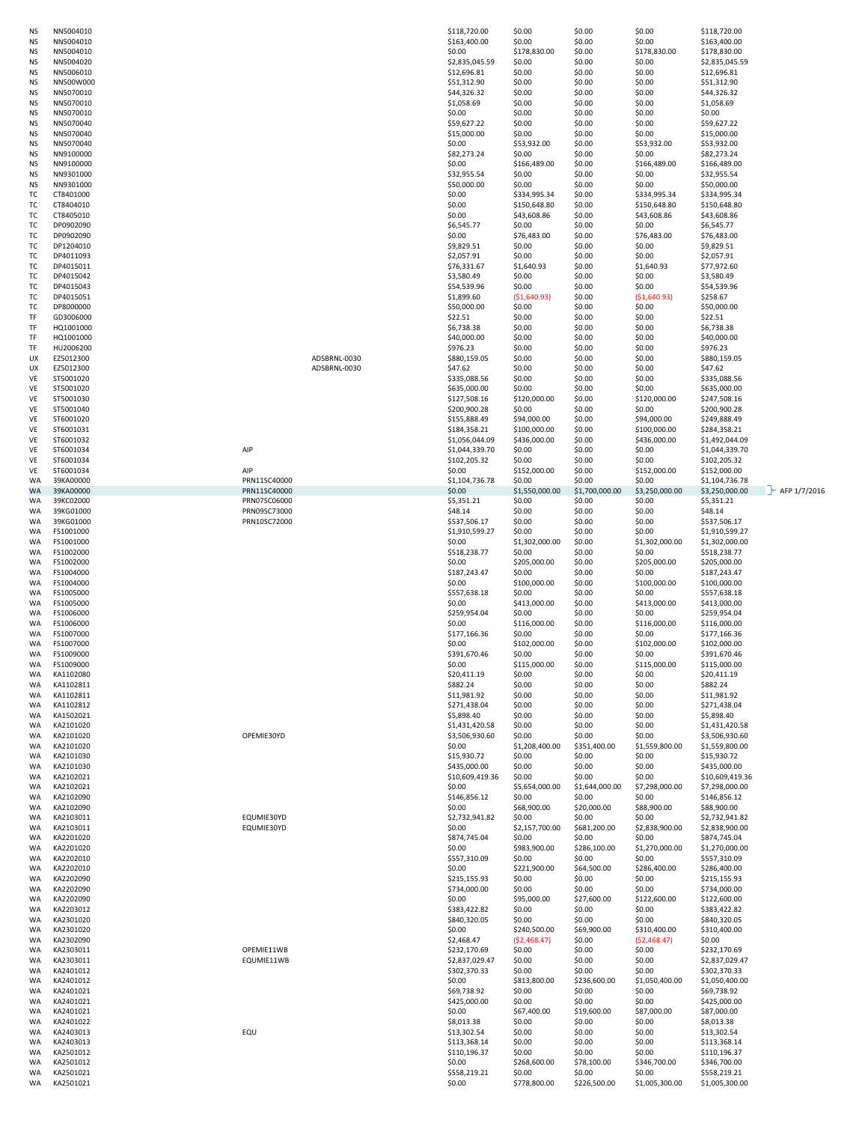| <b>NS</b> | NN5004010              |              | \$118,720.00           | \$0.00                 | \$0.00                 | \$0.00                   | \$118,720.00                   |                     |
|-----------|------------------------|--------------|------------------------|------------------------|------------------------|--------------------------|--------------------------------|---------------------|
| <b>NS</b> | NN5004010              |              | \$163,400.00           | \$0.00                 | \$0.00                 | \$0.00                   | \$163,400.00                   |                     |
| NS        | NN5004010              |              | \$0.00                 | \$178,830.00           | \$0.00                 | \$178,830.00             | \$178,830.00                   |                     |
| NS        | NN5004020              |              | \$2,835,045.59         | \$0.00                 | \$0.00                 | \$0.00                   | \$2,835,045.59                 |                     |
| <b>NS</b> | NN5006010              |              | \$12,696.81            | \$0.00                 | \$0.00                 | \$0.00                   | \$12,696.81                    |                     |
| <b>NS</b> | NN500W000              |              | \$51,312.90            | \$0.00                 | \$0.00                 | \$0.00                   | \$51,312.90                    |                     |
| <b>NS</b> | NN5070010              |              | \$44,326.32            | \$0.00                 | \$0.00                 | \$0.00                   | \$44,326.32                    |                     |
| <b>NS</b> | NN5070010              |              | \$1,058.69             | \$0.00                 | \$0.00                 | \$0.00                   | \$1,058.69                     |                     |
| NS        | NN5070010              |              | \$0.00                 | \$0.00                 | \$0.00                 | \$0.00                   | \$0.00                         |                     |
| <b>NS</b> | NN5070040              |              | \$59,627.22            | \$0.00                 | \$0.00                 | \$0.00                   | \$59,627.22                    |                     |
| <b>NS</b> | NN5070040              |              | \$15,000.00            | \$0.00                 | \$0.00                 | \$0.00                   | \$15,000.00                    |                     |
| <b>NS</b> | NN5070040              |              | \$0.00                 | \$53,932.00            | \$0.00                 | \$53,932.00              | \$53,932.00                    |                     |
|           |                        |              |                        | \$0.00                 |                        | \$0.00                   |                                |                     |
| NS        | NN9100000              |              | \$82,273.24            |                        | \$0.00                 |                          | \$82,273.24                    |                     |
| NS        | NN9100000              |              | \$0.00                 | \$166,489.00           | \$0.00                 | \$166,489.00             | \$166,489.00                   |                     |
| <b>NS</b> | NN9301000              |              | \$32,955.54            | \$0.00                 | \$0.00                 | \$0.00                   | \$32,955.54                    |                     |
| <b>NS</b> | NN9301000              |              | \$50,000.00            | \$0.00                 | \$0.00                 | \$0.00                   | \$50,000.00                    |                     |
| TC        | CT8401000              |              | \$0.00                 | \$334,995.34           | \$0.00                 | \$334,995.34             | \$334,995.34                   |                     |
| TC        | CT8404010              |              | \$0.00                 | \$150,648.80           | \$0.00                 | \$150,648.80             | \$150,648.80                   |                     |
| ТC        | CT8405010              |              | \$0.00                 | \$43,608.86            | \$0.00                 | \$43,608.86              | \$43,608.86                    |                     |
| ТC        | DP0902090              |              | \$6,545.77             | \$0.00                 | \$0.00                 | \$0.00                   | \$6,545.77                     |                     |
| TC        | DP0902090              |              | \$0.00                 | \$76,483.00            | \$0.00                 | \$76,483.00              | \$76,483.00                    |                     |
| TC        | DP1204010              |              | \$9,829.51             | \$0.00                 | \$0.00                 | \$0.00                   | \$9,829.51                     |                     |
| TC        | DP4011093              |              | \$2,057.91             | \$0.00                 | \$0.00                 | \$0.00                   | \$2,057.91                     |                     |
| ТC        | DP4015011              |              | \$76,331.67            | \$1,640.93             | \$0.00                 | \$1,640.93               | \$77,972.60                    |                     |
| ТC        | DP4015042              |              | \$3,580.49             | \$0.00                 | \$0.00                 | \$0.00                   | \$3,580.49                     |                     |
| TC        | DP4015043              |              | \$54,539.96            | \$0.00                 | \$0.00                 | \$0.00                   | \$54,539.96                    |                     |
|           |                        |              |                        |                        |                        |                          |                                |                     |
| TC        | DP4015051              |              | \$1,899.60             | ( \$1,640.93)          | \$0.00                 | (51,640.93)              | \$258.67                       |                     |
| TC        | DP8000000              |              | \$50,000.00            | \$0.00                 | \$0.00                 | \$0.00                   | \$50,000.00                    |                     |
| TF        | GD3006000              |              | \$22.51                | \$0.00                 | \$0.00                 | \$0.00                   | \$22.51                        |                     |
| TF        | HQ1001000              |              | \$6,738.38             | \$0.00                 | \$0.00                 | \$0.00                   | \$6,738.38                     |                     |
| TF        | HQ1001000              |              | \$40,000.00            | \$0.00                 | \$0.00                 | \$0.00                   | \$40,000.00                    |                     |
| TF        | HU2006200              |              | \$976.23               | \$0.00                 | \$0.00                 | \$0.00                   | \$976.23                       |                     |
| UX        | EZ5012300              | ADSBRNL-0030 | \$880,159.05           | \$0.00                 | \$0.00                 | \$0.00                   | \$880,159.05                   |                     |
| UX        | EZ5012300              | ADSBRNL-0030 | \$47.62                | \$0.00                 | \$0.00                 | \$0.00                   | \$47.62                        |                     |
| VE        | ST5001020              |              | \$335,088.56           | \$0.00                 | \$0.00                 | \$0.00                   | \$335,088.56                   |                     |
| VE        | ST5001020              |              | \$635,000.00           | \$0.00                 | \$0.00                 | \$0.00                   | \$635,000.00                   |                     |
| VE        | ST5001030              |              | \$127,508.16           | \$120,000.00           | \$0.00                 | \$120,000.00             | \$247,508.16                   |                     |
| VE        | ST5001040              |              | \$200,900.28           | \$0.00                 | \$0.00                 | \$0.00                   | \$200,900.28                   |                     |
| VE        | ST6001020              |              | \$155,888.49           | \$94,000.00            | \$0.00                 |                          | \$249,888.49                   |                     |
|           |                        |              | \$184,358.21           |                        |                        | \$94,000.00              |                                |                     |
| VE        | ST6001031              |              |                        | \$100,000.00           | \$0.00                 | \$100,000.00             | \$284,358.21                   |                     |
| VE        | ST6001032              |              | \$1,056,044.09         | \$436,000.00           | \$0.00                 | \$436,000.00             | \$1,492,044.09                 |                     |
| VE        | ST6001034<br>AIP       |              | \$1,044,339.70         | \$0.00                 | \$0.00                 | \$0.00                   | \$1,044,339.70                 |                     |
| VE        | ST6001034              |              | \$102,205.32           | \$0.00                 | \$0.00                 | \$0.00                   | \$102,205.32                   |                     |
| VE        | ST6001034<br>AIP       |              | \$0.00                 | \$152,000.00           | \$0.00                 | \$152,000.00             | \$152,000.00                   |                     |
| WA        | 39KA00000              | PRN11SC40000 | \$1,104,736.78         | \$0.00                 | \$0.00                 | \$0.00                   | \$1,104,736.78                 |                     |
| <b>WA</b> | 39KA00000              | PRN11SC40000 | \$0.00                 | \$1,550,000.00         | \$1,700,000.00         | \$3,250,000.00           | \$3,250,000.00                 | $-F$ AFP $1/7/2016$ |
| WA        | 39KC02000              | PRN07SC06000 | \$5,351.21             | \$0.00                 | \$0.00                 | \$0.00                   | \$5,351.21                     |                     |
| WA        | 39KG01000              | PRN09SC73000 | \$48.14                | \$0.00                 | \$0.00                 | \$0.00                   | \$48.14                        |                     |
| WA        | 39KG01000              | PRN10SC72000 | \$537,506.17           | \$0.00                 | \$0.00                 | \$0.00                   | \$537,506.17                   |                     |
| WA        | FS1001000              |              | \$1,910,599.27         | \$0.00                 | \$0.00                 | \$0.00                   | \$1,910,599.27                 |                     |
| WA        | FS1001000              |              | \$0.00                 | \$1,302,000.00         | \$0.00                 | \$1,302,000.00           | \$1,302,000.00                 |                     |
| WA        | FS1002000              |              | \$518,238.77           | \$0.00                 | \$0.00                 | \$0.00                   | \$518,238.77                   |                     |
| WA        | FS1002000              |              | \$0.00                 | \$205,000.00           | \$0.00                 | \$205,000.00             |                                |                     |
|           |                        |              | \$187,243.47           | \$0.00                 | \$0.00                 | \$0.00                   | \$205,000.00                   |                     |
| WA        | FS1004000              |              |                        |                        |                        |                          | \$187,243.47                   |                     |
|           |                        |              |                        |                        |                        |                          |                                |                     |
| WA        | FS1004000              |              | \$0.00                 | \$100,000.00           | \$0.00                 | \$100,000.00             | \$100,000.00                   |                     |
| WA        | FS1005000              |              | \$557,638.18           | \$0.00                 | \$0.00                 | \$0.00                   | \$557,638.18                   |                     |
| WA        | FS1005000              |              | \$0.00                 | \$413,000.00           | \$0.00                 | \$413,000.00             | \$413,000.00                   |                     |
| WA        | FS1006000              |              | \$259,954.04           | \$0.00                 | \$0.00                 | \$0.00                   | \$259,954.04                   |                     |
| WA        | FS1006000              |              | \$0.00                 | \$116,000.00           | \$0.00                 | \$116,000.00             | \$116,000.00                   |                     |
| WA        | FS1007000              |              | \$177,166.36           | \$0.00                 | \$0.00                 | \$0.00                   | \$177,166.36                   |                     |
| WA        | FS1007000              |              | \$0.00                 | \$102,000.00           | \$0.00                 | \$102,000.00             | \$102,000.00                   |                     |
| WA        |                        |              |                        |                        |                        |                          |                                |                     |
|           | FS1009000              |              | \$391,670.46           | \$0.00                 | \$0.00                 | \$0.00                   | \$391,670.46                   |                     |
| WA        | FS1009000              |              | \$0.00                 | \$115,000.00           | \$0.00                 | \$115,000.00             | \$115,000.00                   |                     |
| WA        | KA1102080              |              | \$20,411.19            | \$0.00                 | \$0.00                 | \$0.00                   | \$20,411.19                    |                     |
| WA        | KA1102811              |              | \$882.24               | \$0.00                 | \$0.00                 | \$0.00                   | \$882.24                       |                     |
| WA        | KA1102811              |              | \$11,981.92            | \$0.00                 | \$0.00                 | \$0.00                   | \$11,981.92                    |                     |
| WA        | KA1102812              |              | \$271,438.04           | \$0.00                 | \$0.00                 | \$0.00                   | \$271,438.04                   |                     |
| WA        | KA1502021              |              | \$5,898.40             | \$0.00                 | \$0.00                 | \$0.00                   | \$5,898.40                     |                     |
| WA        | KA2101020              |              | \$1,431,420.58         | \$0.00                 | \$0.00                 | \$0.00                   | \$1,431,420.58                 |                     |
| WA        | KA2101020              | OPEMIE30YD   | \$3,506,930.60         | \$0.00                 | \$0.00                 | \$0.00                   | \$3,506,930.60                 |                     |
| WA        | KA2101020              |              | \$0.00                 | \$1,208,400.00         | \$351,400.00           | \$1,559,800.00           | \$1,559,800.00                 |                     |
| WA        | KA2101030              |              | \$15,930.72            | \$0.00                 | \$0.00                 | \$0.00                   | \$15,930.72                    |                     |
| WA        | KA2101030              |              | \$435,000.00           | \$0.00                 | \$0.00                 | \$0.00                   | \$435,000.00                   |                     |
| WA        | KA2102021              |              | \$10,609,419.36        | \$0.00                 | \$0.00                 | \$0.00                   | \$10,609,419.36                |                     |
| WA        | KA2102021              |              | \$0.00                 | \$5,654,000.00         | \$1,644,000.00         | \$7,298,000.00           | \$7,298,000.00                 |                     |
| WA        | KA2102090              |              | \$146,856.12           | \$0.00                 | \$0.00                 | \$0.00                   | \$146,856.12                   |                     |
| WA        | KA2102090              |              | \$0.00                 | \$68,900.00            | \$20,000.00            | \$88,900.00              | \$88,900.00                    |                     |
| WA        | KA2103011              | EQUMIE30YD   | \$2,732,941.82         | \$0.00                 | \$0.00                 | \$0.00                   | \$2,732,941.82                 |                     |
| WA        | KA2103011              | EQUMIE30YD   | \$0.00                 | \$2,157,700.00         | \$681,200.00           | \$2,838,900.00           | \$2,838,900.00                 |                     |
| WA        | KA2201020              |              | \$874,745.04           | \$0.00                 | \$0.00                 | \$0.00                   | \$874,745.04                   |                     |
|           |                        |              |                        |                        |                        |                          |                                |                     |
| WA        | KA2201020              |              | \$0.00                 | \$983,900.00           | \$286,100.00           | \$1,270,000.00           | \$1,270,000.00                 |                     |
| WA        | KA2202010              |              | \$557,310.09           | \$0.00                 | \$0.00                 | \$0.00                   | \$557,310.09                   |                     |
| WA        | KA2202010              |              | \$0.00                 | \$221,900.00           | \$64,500.00            | \$286,400.00             | \$286,400.00                   |                     |
| WA        | KA2202090              |              | \$215,155.93           | \$0.00                 | \$0.00                 | \$0.00                   | \$215,155.93                   |                     |
| WA        | KA2202090              |              | \$734,000.00           | \$0.00                 | \$0.00                 | \$0.00                   | \$734,000.00                   |                     |
| WA        | KA2202090              |              | \$0.00                 | \$95,000.00            | \$27,600.00            | \$122,600.00             | \$122,600.00                   |                     |
| WA        | KA2203012              |              | \$383,422.82           | \$0.00                 | \$0.00                 | \$0.00                   | \$383,422.82                   |                     |
| WA        | KA2301020              |              | \$840,320.05           | \$0.00                 | \$0.00                 | \$0.00                   | \$840,320.05                   |                     |
| WA        | KA2301020              |              | \$0.00                 | \$240,500.00           | \$69,900.00            | \$310,400.00             | \$310,400.00                   |                     |
| WA        | KA2302090              |              | \$2,468.47             | (52, 468.47)           | \$0.00                 | (52, 468.47)             | \$0.00                         |                     |
| WA        | KA2303011              | OPEMIE11WB   | \$232,170.69           | \$0.00                 | \$0.00                 | \$0.00                   | \$232,170.69                   |                     |
| WA        | KA2303011              | EQUMIE11WB   | \$2,837,029.47         | \$0.00                 | \$0.00                 | \$0.00                   | \$2,837,029.47                 |                     |
| WA        | KA2401012              |              | \$302,370.33           | \$0.00                 | \$0.00                 | \$0.00                   |                                |                     |
| WA        |                        |              |                        |                        |                        |                          | \$302,370.33                   |                     |
|           | KA2401012              |              | \$0.00                 | \$813,800.00           | \$236,600.00           | \$1,050,400.00           | \$1,050,400.00                 |                     |
| WA        | KA2401021              |              | \$69,738.92            | \$0.00                 | \$0.00                 | \$0.00                   | \$69,738.92                    |                     |
| WA        | KA2401021              |              | \$425,000.00           | \$0.00                 | \$0.00                 | \$0.00                   | \$425,000.00                   |                     |
| WA        | KA2401021              |              | \$0.00                 | \$67,400.00            | \$19,600.00            | \$87,000.00              | \$87,000.00                    |                     |
| WA        | KA2401022              |              | \$8,013.38             | \$0.00                 | \$0.00                 | \$0.00                   | \$8,013.38                     |                     |
| WA        | KA2403013<br>EQU       |              | \$13,302.54            | \$0.00                 | \$0.00                 | \$0.00                   | \$13,302.54                    |                     |
| WA        | KA2403013              |              | \$113,368.14           | \$0.00                 | \$0.00                 | \$0.00                   | \$113,368.14                   |                     |
| WA        | KA2501012              |              | \$110,196.37           | \$0.00                 | \$0.00                 | \$0.00                   | \$110,196.37                   |                     |
| WA        | KA2501012              |              | \$0.00                 | \$268,600.00           | \$78,100.00            | \$346,700.00             | \$346,700.00                   |                     |
| WA<br>WA  | KA2501021<br>KA2501021 |              | \$558,219.21<br>\$0.00 | \$0.00<br>\$778,800.00 | \$0.00<br>\$226,500.00 | \$0.00<br>\$1,005,300.00 | \$558,219.21<br>\$1,005,300.00 |                     |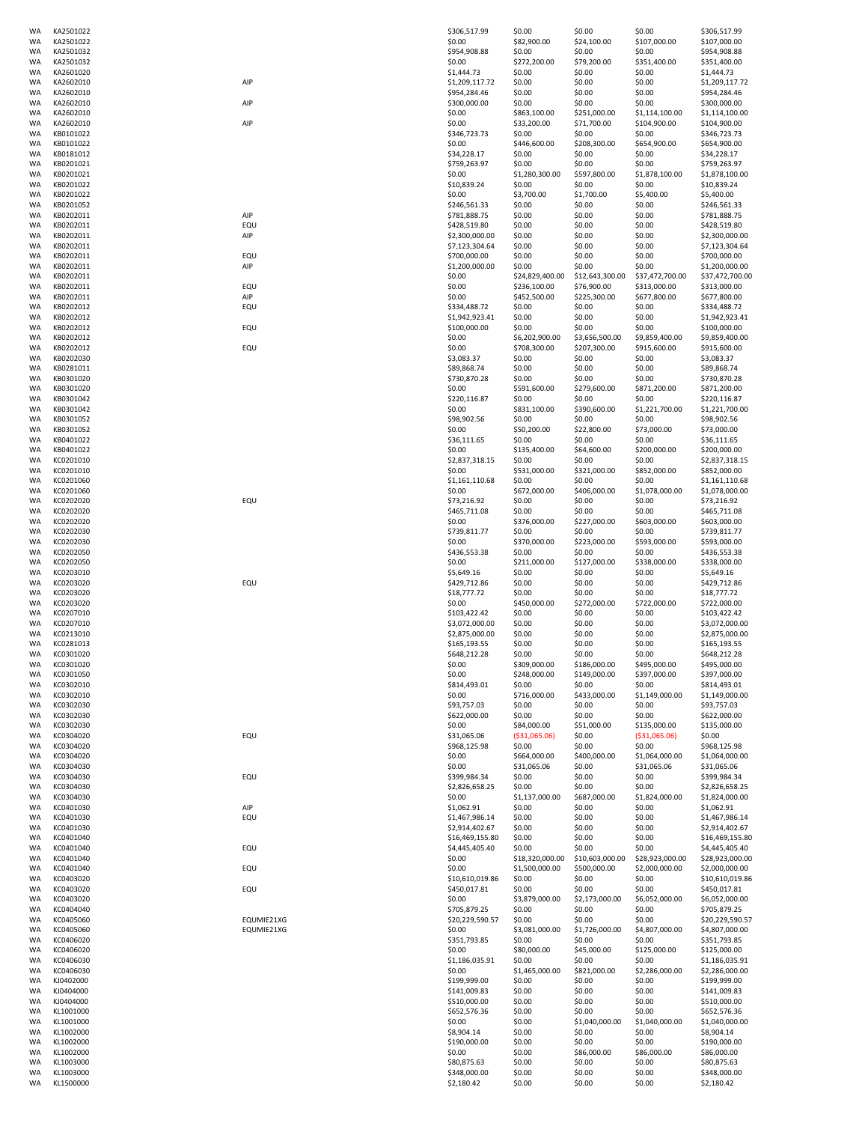| WA              | KA2501022              |            | \$306,517.99                      | \$0.00                   | \$0.00                   | \$0.00                   | \$306,517.99                      |
|-----------------|------------------------|------------|-----------------------------------|--------------------------|--------------------------|--------------------------|-----------------------------------|
| WA              | KA2501022              |            | \$0.00                            | \$82,900.00              | \$24,100.00              | \$107,000.00             | \$107,000.00                      |
| WA              | KA2501032              |            | \$954,908.88                      | \$0.00                   | \$0.00                   | \$0.00                   | \$954,908.88                      |
| WA              | KA2501032              |            | \$0.00                            | \$272,200.00             | \$79,200.00              | \$351,400.00             | \$351,400.00                      |
| WA              | KA2601020              |            | \$1,444.73                        | \$0.00                   | \$0.00                   | \$0.00                   | \$1,444.73                        |
| WA<br>WA        | KA2602010<br>KA2602010 | AIP        | \$1,209,117.72<br>\$954,284.46    | \$0.00<br>\$0.00         | \$0.00<br>\$0.00         | \$0.00<br>\$0.00         | \$1,209,117.72<br>\$954,284.46    |
| WA              | KA2602010              | AIP        | \$300,000.00                      | \$0.00                   | \$0.00                   | \$0.00                   | \$300,000.00                      |
| <b>WA</b>       | KA2602010              |            | \$0.00                            | \$863,100.00             | \$251,000.00             | \$1,114,100.00           | \$1,114,100.00                    |
| WA              | KA2602010              | AIP        | \$0.00                            | \$33,200.00              | \$71,700.00              | \$104,900.00             | \$104,900.00                      |
| WA              | KB0101022              |            | \$346,723.73<br>\$0.00            | \$0.00                   | \$0.00                   | \$0.00                   | \$346,723.73                      |
| WA<br>WA        | KB0101022<br>KB0181012 |            | \$34,228.17                       | \$446,600.00<br>\$0.00   | \$208,300.00<br>\$0.00   | \$654,900.00<br>\$0.00   | \$654,900.00<br>\$34,228.17       |
| WA              | KB0201021              |            | \$759,263.97                      | \$0.00                   | \$0.00                   | \$0.00                   | \$759,263.97                      |
| WA              | KB0201021              |            | \$0.00                            | \$1,280,300.00           | \$597,800.00             | \$1,878,100.00           | \$1,878,100.00                    |
| WA              | KB0201022              |            | \$10,839.24                       | \$0.00                   | \$0.00                   | \$0.00                   | \$10,839.24                       |
| WA<br>WA        | KB0201022<br>KB0201052 |            | \$0.00<br>\$246,561.33            | \$3,700.00<br>\$0.00     | \$1,700.00<br>\$0.00     | \$5,400.00<br>\$0.00     | \$5,400.00<br>\$246,561.33        |
| WA              | KB0202011              | AIP        | \$781,888.75                      | \$0.00                   | \$0.00                   | \$0.00                   | \$781,888.75                      |
| WA              | KB0202011              | EQU        | \$428,519.80                      | \$0.00                   | \$0.00                   | \$0.00                   | \$428,519.80                      |
| WA              | KB0202011              | AIP        | \$2,300,000.00                    | \$0.00                   | \$0.00                   | \$0.00                   | \$2,300,000.00                    |
| WA              | KB0202011              |            | \$7,123,304.64                    | \$0.00                   | \$0.00                   | \$0.00                   | \$7,123,304.64                    |
| WA<br><b>WA</b> | KB0202011<br>KB0202011 | EQU<br>AIP | \$700,000.00<br>\$1,200,000.00    | \$0.00<br>\$0.00         | \$0.00<br>\$0.00         | \$0.00<br>\$0.00         | \$700,000.00<br>\$1,200,000.00    |
| WA              | KB0202011              |            | \$0.00                            | \$24,829,400.00          | \$12,643,300.00          | \$37,472,700.00          | \$37,472,700.00                   |
| WA              | KB0202011              | EQU        | \$0.00                            | \$236,100.00             | \$76,900.00              | \$313,000.00             | \$313,000.00                      |
| WA              | KB0202011              | AIP        | \$0.00                            | \$452,500.00             | \$225,300.00             | \$677,800.00             | \$677,800.00                      |
| WA<br>WA        | KB0202012<br>KB0202012 | EQU        | \$334,488.72<br>\$1,942,923.41    | \$0.00<br>\$0.00         | \$0.00<br>\$0.00         | \$0.00<br>\$0.00         | \$334,488.72<br>\$1,942,923.41    |
| WA              | KB0202012              | EQU        | \$100,000.00                      | \$0.00                   | \$0.00                   | \$0.00                   | \$100,000.00                      |
| WA              | KB0202012              |            | \$0.00                            | \$6,202,900.00           | \$3,656,500.00           | \$9,859,400.00           | \$9,859,400.00                    |
| WA              | KB0202012              | EQU        | \$0.00                            | \$708,300.00             | \$207,300.00             | \$915,600.00             | \$915,600.00                      |
| WA<br>WA        | KB0202030<br>KB0281011 |            | \$3,083.37<br>\$89,868.74         | \$0.00<br>\$0.00         | \$0.00<br>\$0.00         | \$0.00<br>\$0.00         | \$3,083.37<br>\$89,868.74         |
| WA              | KB0301020              |            | \$730,870.28                      | \$0.00                   | \$0.00                   | \$0.00                   | \$730,870.28                      |
| WA              | KB0301020              |            | \$0.00                            | \$591,600.00             | \$279,600.00             | \$871,200.00             | \$871,200.00                      |
| WA              | KB0301042              |            | \$220,116.87                      | \$0.00                   | \$0.00                   | \$0.00                   | \$220,116.87                      |
| WA<br>WA        | KB0301042<br>KB0301052 |            | \$0.00<br>\$98,902.56             | \$831,100.00<br>\$0.00   | \$390,600.00<br>\$0.00   | \$1,221,700.00<br>\$0.00 | \$1,221,700.00<br>\$98,902.56     |
| WA              | KB0301052              |            | \$0.00                            | \$50,200.00              | \$22,800.00              | \$73,000.00              | \$73,000.00                       |
| WA              | KB0401022              |            | \$36,111.65                       | \$0.00                   | \$0.00                   | \$0.00                   | \$36,111.65                       |
| WA              | KB0401022              |            | \$0.00                            | \$135,400.00             | \$64,600.00              | \$200,000.00             | \$200,000.00                      |
| WA              | KC0201010              |            | \$2,837,318.15                    | \$0.00                   | \$0.00                   | \$0.00                   | \$2,837,318.15                    |
| WA<br>WA        | KC0201010<br>KC0201060 |            | \$0.00<br>\$1,161,110.68          | \$531,000.00<br>\$0.00   | \$321,000.00<br>\$0.00   | \$852,000.00<br>\$0.00   | \$852,000.00<br>\$1,161,110.68    |
| WA              | KC0201060              |            | \$0.00                            | \$672,000.00             | \$406,000.00             | \$1,078,000.00           | \$1,078,000.00                    |
| WA              | KC0202020              | EQU        | \$73,216.92                       | \$0.00                   | \$0.00                   | \$0.00                   | \$73,216.92                       |
| WA              | KC0202020              |            | \$465,711.08                      | \$0.00                   | \$0.00                   | \$0.00                   | \$465,711.08                      |
| WA<br>WA        | KC0202020<br>KC0202030 |            | \$0.00<br>\$739,811.77            | \$376,000.00<br>\$0.00   | \$227,000.00<br>\$0.00   | \$603,000.00<br>\$0.00   | \$603,000.00<br>\$739,811.77      |
| WA              | KC0202030              |            | \$0.00                            | \$370,000.00             | \$223,000.00             | \$593,000.00             | \$593,000.00                      |
| WA              | KC0202050              |            | \$436,553.38                      | \$0.00                   | \$0.00                   | \$0.00                   | \$436,553.38                      |
| WA              | KC0202050              |            | \$0.00                            | \$211,000.00             | \$127,000.00             | \$338,000.00             | \$338,000.00                      |
| WA<br>WA        | KC0203010<br>KC0203020 | EQU        | \$5,649.16<br>\$429,712.86        | \$0.00<br>\$0.00         | \$0.00<br>\$0.00         | \$0.00<br>\$0.00         | \$5,649.16<br>\$429,712.86        |
| WA              | KC0203020              |            | \$18,777.72                       | \$0.00                   | \$0.00                   | \$0.00                   | \$18,777.72                       |
| WA              | KC0203020              |            | \$0.00                            | \$450,000.00             | \$272,000.00             | \$722,000.00             | \$722,000.00                      |
| WA              | KC0207010              |            | \$103,422.42                      | \$0.00                   | \$0.00                   | \$0.00                   | \$103,422.42                      |
| WA              | KC0207010              |            | \$3,072,000.00                    | \$0.00                   | \$0.00                   | \$0.00                   | \$3,072,000.00                    |
| WA<br>WA        | KC0213010<br>KC0281013 |            | \$2,875,000.00<br>\$165,193.55    | \$0.00<br>\$0.00         | \$0.00<br>\$0.00         | \$0.00<br>\$0.00         | \$2,875,000.00<br>\$165,193.55    |
| WA              | KC0301020              |            | \$648.212.28                      | \$0.00                   | \$0.00                   | \$0.00                   | \$648,212.28                      |
| WA              | KC0301020              |            | \$0.00                            | \$309,000.00             | \$186,000.00             | \$495,000.00             | \$495,000.00                      |
| WA              | KC0301050              |            | \$0.00                            | \$248,000.00             | \$149,000.00             | \$397,000.00             | \$397,000.00                      |
| <b>WA</b><br>WA | KC0302010<br>KC0302010 |            | \$814,493.01<br>\$0.00            | \$0.00<br>\$716,000.00   | \$0.00<br>\$433,000.00   | \$0.00<br>\$1,149,000.00 | \$814,493.01<br>\$1,149,000.00    |
| WA              | KC0302030              |            | \$93,757.03                       | \$0.00                   | \$0.00                   | \$0.00                   | \$93,757.03                       |
| WA              | KC0302030              |            | \$622,000.00                      | \$0.00                   | \$0.00                   | \$0.00                   | \$622,000.00                      |
| WA              | KC0302030              |            | \$0.00                            | \$84,000.00              | \$51,000.00              | \$135,000.00             | \$135,000.00                      |
| WA<br>WA        | KC0304020<br>KC0304020 | EQU        | \$31,065.06<br>\$968.125.98       | ( \$31,065.06)<br>\$0.00 | \$0.00<br>\$0.00         | ( \$31,065.06)<br>\$0.00 | \$0.00<br>\$968,125.98            |
| WA              | KC0304020              |            | \$0.00                            | \$664,000.00             | \$400,000.00             | \$1,064,000.00           | \$1,064,000.00                    |
| WA              | KC0304030              |            | \$0.00                            | \$31,065.06              | \$0.00                   | \$31,065.06              | \$31,065.06                       |
| WA              | KC0304030              | EQU        | \$399,984.34                      | \$0.00                   | \$0.00                   | \$0.00                   | \$399,984.34                      |
| <b>WA</b><br>WA | KC0304030<br>KC0304030 |            | \$2,826,658.25<br>\$0.00          | \$0.00<br>\$1,137,000.00 | \$0.00<br>\$687,000.00   | \$0.00<br>\$1,824,000.00 | \$2,826,658.25<br>\$1,824,000.00  |
| WA              | KC0401030              | AIP        | \$1,062.91                        | \$0.00                   | \$0.00                   | \$0.00                   | \$1,062.91                        |
| WA              | KC0401030              | EQU        | \$1,467,986.14                    | \$0.00                   | \$0.00                   | \$0.00                   | \$1,467,986.14                    |
| WA              | KC0401030              |            | \$2,914,402.67                    | \$0.00                   | \$0.00                   | \$0.00                   | \$2,914,402.67                    |
| WA<br>WA        | KC0401040<br>KC0401040 | EQU        | \$16,469,155.80<br>\$4,445,405.40 | \$0.00<br>\$0.00         | \$0.00<br>\$0.00         | \$0.00<br>\$0.00         | \$16,469,155.80<br>\$4,445,405.40 |
| WA              | KC0401040              |            | \$0.00                            | \$18,320,000.00          | \$10,603,000.00          | \$28,923,000.00          | \$28,923,000.00                   |
| WA              | KC0401040              | EQU        | \$0.00                            | \$1,500,000.00           | \$500,000.00             | \$2,000,000.00           | \$2,000,000.00                    |
| WA              | KC0403020              |            | \$10,610,019.86                   | \$0.00                   | \$0.00                   | \$0.00                   | \$10,610,019.86                   |
| WA              | KC0403020              | EQU        | \$450,017.81                      | \$0.00                   | \$0.00                   | \$0.00                   | \$450,017.81                      |
| WA<br>WA        | KC0403020<br>KC0404040 |            | \$0.00<br>\$705,879.25            | \$3,879,000.00<br>\$0.00 | \$2,173,000.00<br>\$0.00 | \$6,052,000.00<br>\$0.00 | \$6,052,000.00<br>\$705,879.25    |
| WA              | KC0405060              | EQUMIE21XG | \$20,229,590.57                   | \$0.00                   | \$0.00                   | \$0.00                   | \$20,229,590.57                   |
| WA              | KC0405060              | EQUMIE21XG | \$0.00                            | \$3,081,000.00           | \$1,726,000.00           | \$4,807,000.00           | \$4,807,000.00                    |
| WA              | KC0406020              |            | \$351,793.85                      | \$0.00                   | \$0.00                   | \$0.00                   | \$351,793.85                      |
| WA<br>WA        | KC0406020<br>KC0406030 |            | \$0.00<br>\$1,186,035.91          | \$80,000.00<br>\$0.00    | \$45,000.00<br>\$0.00    | \$125,000.00<br>\$0.00   | \$125,000.00<br>\$1,186,035.91    |
| WA              | KC0406030              |            | \$0.00                            | \$1,465,000.00           | \$821,000.00             | \$2,286,000.00           | \$2,286,000.00                    |
| WA              | KJ0402000              |            | \$199,999.00                      | \$0.00                   | \$0.00                   | \$0.00                   | \$199,999.00                      |
| WA              | KJ0404000              |            | \$141,009.83                      | \$0.00                   | \$0.00                   | \$0.00                   | \$141,009.83                      |
| WA<br>WA        | KJ0404000<br>KL1001000 |            | \$510,000.00<br>\$652,576.36      | \$0.00<br>\$0.00         | \$0.00<br>\$0.00         | \$0.00<br>\$0.00         | \$510,000.00<br>\$652,576.36      |
| WA              | KL1001000              |            | \$0.00                            | \$0.00                   | \$1,040,000.00           | \$1,040,000.00           | \$1,040,000.00                    |
| WA              | KL1002000              |            | \$8,904.14                        | \$0.00                   | \$0.00                   | \$0.00                   | \$8,904.14                        |
| WA              | KL1002000              |            | \$190,000.00                      | \$0.00                   | \$0.00                   | \$0.00                   | \$190,000.00                      |
| WA<br>WA        | KL1002000<br>KL1003000 |            | \$0.00<br>\$80,875.63             | \$0.00<br>\$0.00         | \$86,000.00<br>\$0.00    | \$86,000.00<br>\$0.00    | \$86,000.00<br>\$80,875.63        |
| WA              | KL1003000              |            | \$348,000.00                      | \$0.00                   | \$0.00                   | \$0.00                   | \$348,000.00                      |
| WA              | KL1500000              |            | \$2,180.42                        | \$0.00                   | \$0.00                   | \$0.00                   | \$2,180.42                        |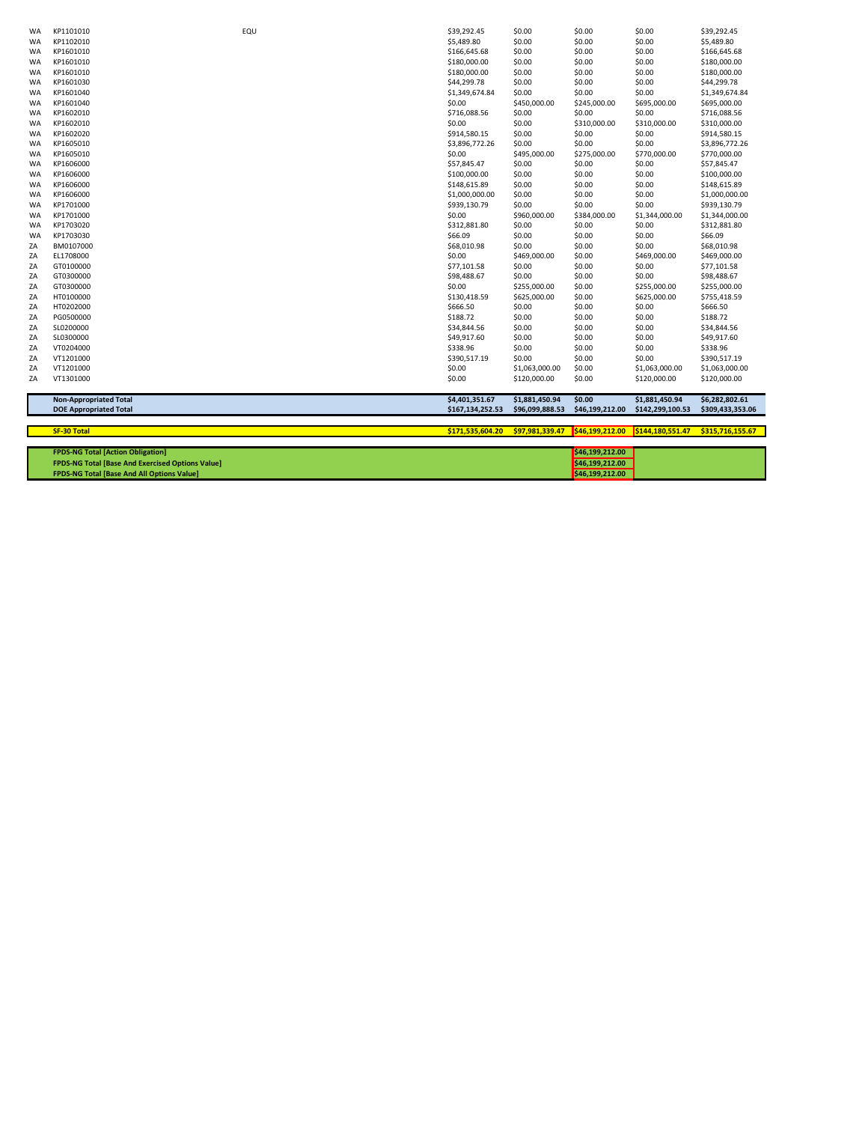| WA        | KP1101010                                               | EQU | \$39,292.45      | \$0.00          | \$0.00          | \$0.00           | \$39,292.45      |
|-----------|---------------------------------------------------------|-----|------------------|-----------------|-----------------|------------------|------------------|
| WA        | KP1102010                                               |     | \$5,489.80       | \$0.00          | \$0.00          | \$0.00           | \$5,489.80       |
| <b>WA</b> | KP1601010                                               |     | \$166,645.68     | \$0.00          | \$0.00          | \$0.00           | \$166,645.68     |
| WA        | KP1601010                                               |     | \$180,000.00     | \$0.00          | \$0.00          | \$0.00           | \$180,000.00     |
| WA        | KP1601010                                               |     | \$180,000.00     | \$0.00          | \$0.00          | \$0.00           | \$180,000.00     |
| WA        | KP1601030                                               |     | \$44,299.78      | \$0.00          | \$0.00          | \$0.00           | \$44,299.78      |
| WA        | KP1601040                                               |     | \$1,349,674.84   | \$0.00          | \$0.00          | \$0.00           | \$1,349,674.84   |
| WA        | KP1601040                                               |     | \$0.00           | \$450,000.00    | \$245,000.00    | \$695,000.00     | \$695,000.00     |
| WA        | KP1602010                                               |     | \$716,088.56     | \$0.00          | \$0.00          | \$0.00           | \$716,088.56     |
| <b>WA</b> | KP1602010                                               |     | \$0.00           | \$0.00          | \$310,000.00    | \$310,000.00     | \$310,000.00     |
| WA        | KP1602020                                               |     | \$914,580.15     | \$0.00          | \$0.00          | \$0.00           | \$914,580.15     |
|           | KP1605010                                               |     | \$3,896,772.26   | \$0.00          | \$0.00          | \$0.00           | \$3,896,772.26   |
| WA        |                                                         |     |                  |                 |                 |                  |                  |
| WA        | KP1605010                                               |     | \$0.00           | \$495,000.00    | \$275,000.00    | \$770,000.00     | \$770,000.00     |
| WA        | KP1606000                                               |     | \$57,845.47      | \$0.00          | \$0.00          | \$0.00           | \$57,845.47      |
| WA        | KP1606000                                               |     | \$100,000.00     | \$0.00          | \$0.00          | \$0.00           | \$100,000.00     |
| <b>WA</b> | KP1606000                                               |     | \$148,615.89     | \$0.00          | \$0.00          | \$0.00           | \$148,615.89     |
| <b>WA</b> | KP1606000                                               |     | \$1,000,000.00   | \$0.00          | \$0.00          | \$0.00           | \$1,000,000.00   |
| <b>WA</b> | KP1701000                                               |     | \$939,130.79     | \$0.00          | \$0.00          | \$0.00           | \$939,130.79     |
| <b>WA</b> | KP1701000                                               |     | \$0.00           | \$960,000.00    | \$384,000.00    | \$1,344,000.00   | \$1,344,000.00   |
| WA        | KP1703020                                               |     | \$312,881.80     | \$0.00          | \$0.00          | \$0.00           | \$312,881.80     |
| WA        | KP1703030                                               |     | \$66.09          | \$0.00          | \$0.00          | \$0.00           | \$66.09          |
| ZA        | BM0107000                                               |     | \$68,010.98      | \$0.00          | \$0.00          | \$0.00           | \$68,010.98      |
| ZA        | EL1708000                                               |     | \$0.00           | \$469,000.00    | \$0.00          | \$469,000.00     | \$469,000.00     |
| ZA        | GT0100000                                               |     | \$77,101.58      | \$0.00          | \$0.00          | \$0.00           | \$77,101.58      |
| ZA        | GT0300000                                               |     | \$98,488.67      | \$0.00          | \$0.00          | \$0.00           | \$98,488.67      |
| ZA        | GT0300000                                               |     | \$0.00           | \$255,000.00    | \$0.00          | \$255,000.00     | \$255,000.00     |
| ZA        | HT0100000                                               |     | \$130,418.59     | \$625,000.00    | \$0.00          | \$625,000.00     | \$755,418.59     |
| ZA        | HT0202000                                               |     | \$666.50         | \$0.00          | \$0.00          | \$0.00           | \$666.50         |
| ZA        | PG0500000                                               |     | \$188.72         | \$0.00          | \$0.00          | \$0.00           | \$188.72         |
| ZA        | SL0200000                                               |     | \$34,844.56      | \$0.00          | \$0.00          | \$0.00           | \$34,844.56      |
| ZA        | SL0300000                                               |     | \$49,917.60      | \$0.00          | \$0.00          | \$0.00           | \$49,917.60      |
| ZA        | VT0204000                                               |     | \$338.96         | \$0.00          | \$0.00          | \$0.00           | \$338.96         |
| ZA        | VT1201000                                               |     | \$390,517.19     | \$0.00          | \$0.00          | \$0.00           | \$390,517.19     |
| ZA        | VT1201000                                               |     | \$0.00           | \$1,063,000.00  | \$0.00          | \$1,063,000.00   | \$1,063,000.00   |
| ZA        | VT1301000                                               |     | \$0.00           | \$120,000.00    | \$0.00          | \$120,000.00     | \$120,000.00     |
|           | <b>Non-Appropriated Total</b>                           |     | \$4,401,351.67   | \$1,881,450.94  | \$0.00          | \$1,881,450.94   | \$6,282,802.61   |
|           | <b>DOE Appropriated Total</b>                           |     | \$167,134,252.53 | \$96,099,888.53 | \$46,199,212.00 | \$142,299,100.53 | \$309,433,353.06 |
|           | <b>SF-30 Total</b>                                      |     | \$171,535,604.20 | \$97,981,339.47 | \$46,199,212.00 | \$144,180,551.47 | \$315,716,155.67 |
|           |                                                         |     |                  |                 |                 |                  |                  |
|           | <b>FPDS-NG Total [Action Obligation]</b>                |     |                  |                 | \$46,199,212.00 |                  |                  |
|           | <b>FPDS-NG Total [Base And Exercised Options Value]</b> |     |                  |                 | \$46,199,212.00 |                  |                  |
|           | <b>FPDS-NG Total [Base And All Options Value]</b>       |     |                  |                 | \$46.199.212.00 |                  |                  |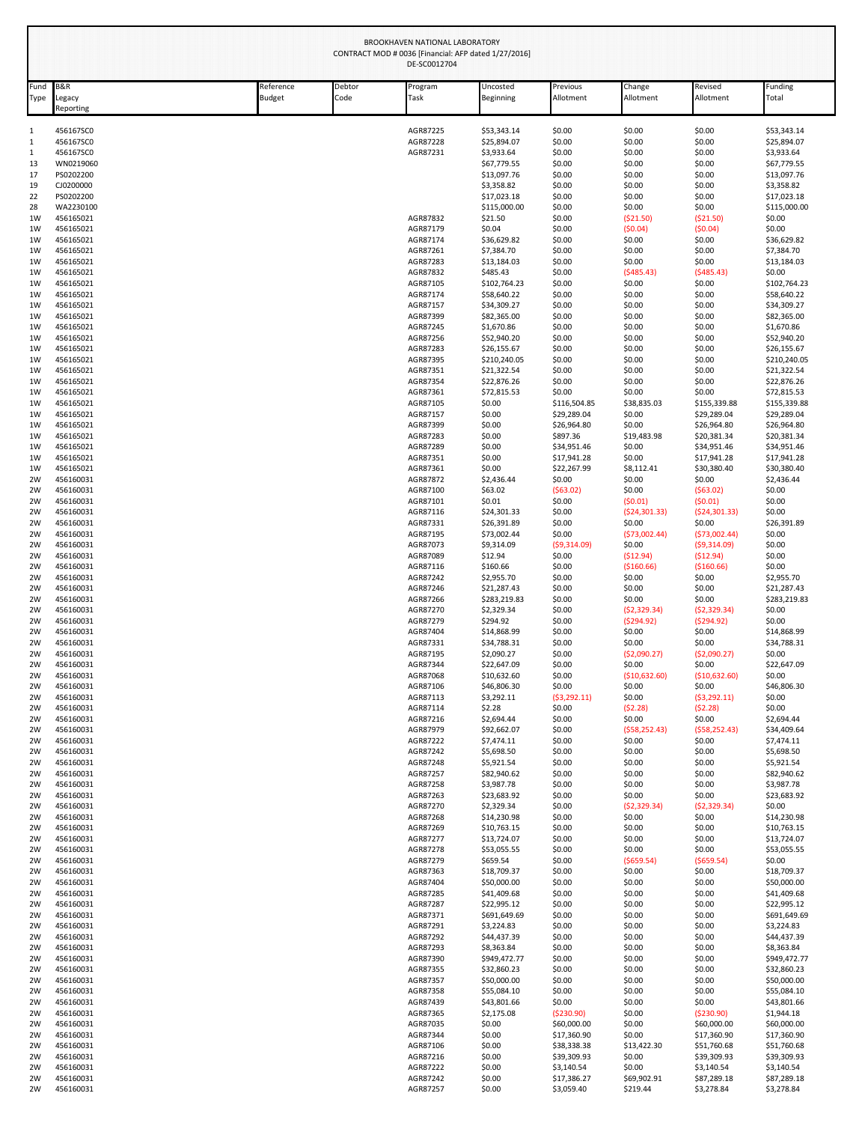|              | BROOKHAVEN NATIONAL LABORATORY<br>CONTRACT MOD # 0036 [Financial: AFP dated 1/27/2016]<br>DE-SC0012704 |                     |                |                      |                           |                            |                       |                            |                            |  |
|--------------|--------------------------------------------------------------------------------------------------------|---------------------|----------------|----------------------|---------------------------|----------------------------|-----------------------|----------------------------|----------------------------|--|
| Fund<br>Type | <b>B&amp;R</b><br>Legacy<br>Reporting                                                                  | Reference<br>Budget | Debtor<br>Code | Program<br>Task      | Uncosted<br>Beginning     | Previous<br>Allotment      | Change<br>Allotment   | Revised<br>Allotment       | Funding<br>Total           |  |
| 1            | 456167SC0                                                                                              |                     |                | AGR87225             | \$53,343.14               | \$0.00                     | \$0.00                | \$0.00                     | \$53,343.14                |  |
| $\mathbf{1}$ | 456167SC0                                                                                              |                     |                | AGR87228             | \$25,894.07               | \$0.00                     | \$0.00                | \$0.00                     | \$25,894.07                |  |
| 1            | 456167SC0                                                                                              |                     |                | AGR87231             | \$3,933.64                | \$0.00                     | \$0.00                | \$0.00                     | \$3,933.64                 |  |
| 13           | WN0219060                                                                                              |                     |                |                      | \$67,779.55               | \$0.00                     | \$0.00                | \$0.00                     | \$67,779.55                |  |
| 17           | PS0202200                                                                                              |                     |                |                      | \$13,097.76               | \$0.00                     | \$0.00                | \$0.00                     | \$13,097.76                |  |
| 19           | CJ0200000                                                                                              |                     |                |                      | \$3,358.82                | \$0.00                     | \$0.00                | \$0.00                     | \$3,358.82                 |  |
| 22           | PS0202200                                                                                              |                     |                |                      | \$17,023.18               | \$0.00                     | \$0.00                | \$0.00                     | \$17,023.18                |  |
| 28           | WA2230100                                                                                              |                     |                |                      | \$115,000.00              | \$0.00                     | \$0.00                | \$0.00                     | \$115,000.00               |  |
| 1W           | 456165021                                                                                              |                     |                | AGR87832             | \$21.50                   | \$0.00                     | ( \$21.50)            | ( \$21.50)                 | \$0.00                     |  |
| 1W           | 456165021                                                                                              |                     |                | AGR87179             | \$0.04                    | \$0.00                     | (50.04)               | (50.04)                    | \$0.00                     |  |
| 1W<br>1W     | 456165021<br>456165021                                                                                 |                     |                | AGR87174<br>AGR87261 | \$36,629.82<br>\$7,384.70 | \$0.00<br>\$0.00           | \$0.00<br>\$0.00      | \$0.00<br>\$0.00           | \$36,629.82<br>\$7,384.70  |  |
| 1W           | 456165021                                                                                              |                     |                | AGR87283             | \$13,184.03               | \$0.00                     | \$0.00                | \$0.00                     | \$13,184.03                |  |
| 1W           | 456165021                                                                                              |                     |                | AGR87832             | \$485.43                  | \$0.00                     | (5485.43)             | (5485.43)                  | \$0.00                     |  |
| 1W           | 456165021                                                                                              |                     |                | AGR87105             | \$102,764.23              | \$0.00                     | \$0.00                | \$0.00                     | \$102,764.23               |  |
| 1W           | 456165021                                                                                              |                     |                | AGR87174             | \$58,640.22               | \$0.00                     | \$0.00                | \$0.00                     | \$58,640.22                |  |
| 1W           | 456165021                                                                                              |                     |                | AGR87157             | \$34,309.27               | \$0.00                     | \$0.00                | \$0.00                     | \$34,309.27                |  |
| 1W           | 456165021                                                                                              |                     |                | AGR87399             | \$82,365.00               | \$0.00                     | \$0.00                | \$0.00                     | \$82,365.00                |  |
| 1W           | 456165021                                                                                              |                     |                | AGR87245             | \$1,670.86                | \$0.00                     | \$0.00                | \$0.00                     | \$1,670.86                 |  |
| 1W           | 456165021                                                                                              |                     |                | AGR87256             | \$52,940.20               | \$0.00                     | \$0.00                | \$0.00                     | \$52,940.20                |  |
| 1W           | 456165021                                                                                              |                     |                | AGR87283             | \$26,155.67               | \$0.00                     | \$0.00                | \$0.00                     | \$26,155.67                |  |
| 1W           | 456165021                                                                                              |                     |                | AGR87395             | \$210,240.05              | \$0.00                     | \$0.00                | \$0.00                     | \$210,240.05               |  |
| 1W           | 456165021                                                                                              |                     |                | AGR87351             | \$21,322.54               | \$0.00                     | \$0.00                | \$0.00                     | \$21,322.54                |  |
| 1W           | 456165021                                                                                              |                     |                | AGR87354             | \$22,876.26               | \$0.00                     | \$0.00                | \$0.00                     | \$22,876.26                |  |
| 1W           | 456165021                                                                                              |                     |                | AGR87361             | \$72,815.53               | \$0.00                     | \$0.00                | \$0.00                     | \$72,815.53                |  |
| 1W           | 456165021                                                                                              |                     |                | AGR87105             | \$0.00                    | \$116,504.85               | \$38,835.03           | \$155,339.88               | \$155,339.88               |  |
| 1W           | 456165021                                                                                              |                     |                | AGR87157             | \$0.00                    | \$29,289.04                | \$0.00                | \$29,289.04                | \$29,289.04                |  |
| 1W           | 456165021                                                                                              |                     |                | AGR87399             | \$0.00                    | \$26,964.80                | \$0.00                | \$26,964.80                | \$26,964.80                |  |
| 1W           | 456165021                                                                                              |                     |                | AGR87283             | \$0.00                    | \$897.36                   | \$19,483.98           | \$20,381.34                | \$20,381.34                |  |
| 1W           | 456165021                                                                                              |                     |                | AGR87289             | \$0.00                    | \$34,951.46                | \$0.00                | \$34,951.46                | \$34,951.46                |  |
| 1W<br>1W     | 456165021<br>456165021                                                                                 |                     |                | AGR87351<br>AGR87361 | \$0.00<br>\$0.00          | \$17,941.28<br>\$22,267.99 | \$0.00<br>\$8,112.41  | \$17,941.28<br>\$30,380.40 | \$17,941.28<br>\$30,380.40 |  |
| 2W           | 456160031                                                                                              |                     |                | AGR87872             | \$2,436.44                | \$0.00                     | \$0.00                | \$0.00                     | \$2,436.44                 |  |
| 2W           | 456160031                                                                                              |                     |                | AGR87100             | \$63.02                   | (563.02)                   | \$0.00                | (563.02)                   | \$0.00                     |  |
| 2W           | 456160031                                                                                              |                     |                | AGR87101             | \$0.01                    | \$0.00                     | (50.01)               | (50.01)                    | \$0.00                     |  |
| 2W           | 456160031                                                                                              |                     |                | AGR87116             | \$24,301.33               | \$0.00                     | (524, 301.33)         | (524, 301.33)              | \$0.00                     |  |
| 2W           | 456160031                                                                                              |                     |                | AGR87331             | \$26,391.89               | \$0.00                     | \$0.00                | \$0.00                     | \$26,391.89                |  |
| 2W           | 456160031                                                                                              |                     |                | AGR87195             | \$73,002.44               | \$0.00                     | (573,002.44)          | (573,002.44)               | \$0.00                     |  |
| 2W           | 456160031                                                                                              |                     |                | AGR87073             | \$9,314.09                | (59,314.09)                | \$0.00                | (59,314.09)                | \$0.00                     |  |
| 2W           | 456160031                                                                                              |                     |                | AGR87089             | \$12.94                   | \$0.00                     | (512.94)              | (512.94)                   | \$0.00                     |  |
| 2W           | 456160031                                                                                              |                     |                | AGR87116             | \$160.66                  | \$0.00                     | ( \$160.66)           | ( \$160.66)                | \$0.00                     |  |
| 2W           | 456160031                                                                                              |                     |                | AGR87242             | \$2,955.70                | \$0.00                     | \$0.00                | \$0.00                     | \$2,955.70                 |  |
| 2W           | 456160031                                                                                              |                     |                | AGR87246             | \$21,287.43               | \$0.00                     | \$0.00                | \$0.00                     | \$21,287.43                |  |
| 2W           | 456160031                                                                                              |                     |                | AGR87266             | \$283,219.83              | \$0.00                     | \$0.00                | \$0.00                     | \$283,219.83               |  |
| 2W           | 456160031                                                                                              |                     |                | AGR87270             | \$2,329.34                | \$0.00                     | (52, 329.34)          | (52, 329.34)               | \$0.00                     |  |
| 2W           | 456160031                                                                                              |                     |                | AGR87279             | \$294.92                  | \$0.00                     | (5294.92)             | (5294.92)                  | \$0.00                     |  |
| 2W           | 456160031<br>456160031                                                                                 |                     |                | AGR87404             | \$14,868.99               | \$0.00                     | \$0.00                | \$0.00                     | \$14,868.99                |  |
| 2W<br>2W     | 456160031                                                                                              |                     |                | AGR87331<br>AGR87195 | \$34,788.31<br>\$2,090.27 | \$0.00<br>\$0.00           | \$0.00<br>(52,090.27) | \$0.00                     | \$34,788.31<br>\$0.00      |  |
| 2W           | 456160031                                                                                              |                     |                | AGR87344             | \$22,647.09               | \$0.00                     | \$0.00                | (52,090.27)<br>\$0.00      | \$22,647.09                |  |
| 2W           | 456160031                                                                                              |                     |                | AGR87068             | \$10,632.60               | \$0.00                     | (\$10,632.60)         | (\$10,632.60)              | \$0.00                     |  |
| 2W           | 456160031                                                                                              |                     |                | AGR87106             | \$46,806.30               | \$0.00                     | \$0.00                | \$0.00                     | \$46,806.30                |  |
| 2W           | 456160031                                                                                              |                     |                | AGR87113             | \$3,292.11                | (53, 292.11)               | \$0.00                | (53, 292.11)               | \$0.00                     |  |
| 2W           | 456160031                                                                                              |                     |                | AGR87114             | \$2.28                    | \$0.00                     | (52.28)               | (52.28)                    | \$0.00                     |  |
| 2W           | 456160031                                                                                              |                     |                | AGR87216             | \$2,694.44                | \$0.00                     | \$0.00                | \$0.00                     | \$2,694.44                 |  |
| 2W           | 456160031                                                                                              |                     |                | AGR87979             | \$92,662.07               | \$0.00                     | (558, 252.43)         | (558, 252.43)              | \$34,409.64                |  |
| 2W           | 456160031                                                                                              |                     |                | AGR87222             | \$7,474.11                | \$0.00                     | \$0.00                | \$0.00                     | \$7,474.11                 |  |
| 2W           | 456160031                                                                                              |                     |                | AGR87242             | \$5,698.50                | \$0.00                     | \$0.00                | \$0.00                     | \$5,698.50                 |  |
| 2W           | 456160031                                                                                              |                     |                | AGR87248             | \$5,921.54                | \$0.00                     | \$0.00                | \$0.00                     | \$5,921.54                 |  |
| 2W           | 456160031                                                                                              |                     |                | AGR87257             | \$82,940.62               | \$0.00                     | \$0.00                | \$0.00                     | \$82,940.62                |  |
| 2W           | 456160031                                                                                              |                     |                | AGR87258             | \$3,987.78                | \$0.00                     | \$0.00                | \$0.00                     | \$3,987.78                 |  |
| 2W           | 456160031                                                                                              |                     |                | AGR87263             | \$23,683.92               | \$0.00                     | \$0.00                | \$0.00                     | \$23,683.92                |  |
| 2W           | 456160031                                                                                              |                     |                | AGR87270             | \$2,329.34                | \$0.00                     | (52, 329.34)          | (52, 329.34)               | \$0.00                     |  |
| 2W           | 456160031                                                                                              |                     |                | AGR87268             | \$14,230.98               | \$0.00                     | \$0.00                | \$0.00                     | \$14,230.98                |  |
| 2W           | 456160031                                                                                              |                     |                | AGR87269             | \$10,763.15               | \$0.00                     | \$0.00                | \$0.00                     | \$10,763.15                |  |
| 2W           | 456160031                                                                                              |                     |                | AGR87277             | \$13,724.07               | \$0.00                     | \$0.00                | \$0.00                     | \$13,724.07                |  |
| 2W           | 456160031                                                                                              |                     |                | AGR87278             | \$53,055.55               | \$0.00                     | \$0.00                | \$0.00                     | \$53,055.55                |  |
| 2W           | 456160031                                                                                              |                     |                | AGR87279             | \$659.54                  | \$0.00                     | ( \$659.54)           | ( \$659.54)                | \$0.00                     |  |
| 2W           | 456160031                                                                                              |                     |                | AGR87363             | \$18,709.37               | \$0.00                     | \$0.00                | \$0.00                     | \$18,709.37                |  |
| 2W           | 456160031                                                                                              |                     |                | AGR87404             | \$50,000.00               | \$0.00                     | \$0.00                | \$0.00                     | \$50,000.00                |  |
| 2W           | 456160031                                                                                              |                     |                | AGR87285             | \$41,409.68               | \$0.00                     | \$0.00                | \$0.00                     | \$41,409.68                |  |
| 2W           | 456160031                                                                                              |                     |                | AGR87287             | \$22,995.12               | \$0.00                     | \$0.00                | \$0.00                     | \$22,995.12                |  |
| 2W           | 456160031                                                                                              |                     |                | AGR87371             | \$691,649.69              | \$0.00                     | \$0.00                | \$0.00                     | \$691,649.69               |  |
| 2W           | 456160031                                                                                              |                     |                | AGR87291<br>AGR87292 | \$3,224.83                | \$0.00<br>\$0.00           | \$0.00                | \$0.00<br>\$0.00           | \$3,224.83                 |  |
| 2W<br>2W     | 456160031                                                                                              |                     |                |                      | \$44,437.39<br>\$8,363.84 | \$0.00                     | \$0.00                |                            | \$44,437.39<br>\$8,363.84  |  |
| 2W           | 456160031<br>456160031                                                                                 |                     |                | AGR87293<br>AGR87390 | \$949,472.77              | \$0.00                     | \$0.00<br>\$0.00      | \$0.00<br>\$0.00           | \$949,472.77               |  |
| 2W           | 456160031                                                                                              |                     |                | AGR87355             | \$32,860.23               | \$0.00                     | \$0.00                | \$0.00                     | \$32,860.23                |  |
| 2W           | 456160031                                                                                              |                     |                | AGR87357             | \$50,000.00               | \$0.00                     | \$0.00                | \$0.00                     | \$50,000.00                |  |
| 2W           | 456160031                                                                                              |                     |                | AGR87358             | \$55,084.10               | \$0.00                     | \$0.00                | \$0.00                     | \$55,084.10                |  |
| 2W           | 456160031                                                                                              |                     |                | AGR87439             | \$43,801.66               | \$0.00                     | \$0.00                | \$0.00                     | \$43,801.66                |  |
| 2W           | 456160031                                                                                              |                     |                | AGR87365             | \$2,175.08                | ( \$230.90)                | \$0.00                | ( \$230.90)                | \$1,944.18                 |  |
| 2W           | 456160031                                                                                              |                     |                | AGR87035             | \$0.00                    | \$60,000.00                | \$0.00                | \$60,000.00                | \$60,000.00                |  |
| 2W           | 456160031                                                                                              |                     |                | AGR87344             | \$0.00                    | \$17,360.90                | \$0.00                | \$17,360.90                | \$17,360.90                |  |
| 2W           | 456160031                                                                                              |                     |                | AGR87106             | \$0.00                    | \$38,338.38                | \$13,422.30           | \$51,760.68                | \$51,760.68                |  |
| 2W           | 456160031                                                                                              |                     |                | AGR87216             | \$0.00                    | \$39,309.93                | \$0.00                | \$39,309.93                | \$39,309.93                |  |
| 2W           | 456160031                                                                                              |                     |                | AGR87222             | \$0.00                    | \$3,140.54                 | \$0.00                | \$3,140.54                 | \$3,140.54                 |  |
| 2W           | 456160031                                                                                              |                     |                | AGR87242             | \$0.00                    | \$17,386.27                | \$69,902.91           | \$87,289.18                | \$87,289.18                |  |
| 2W           | 456160031                                                                                              |                     |                | AGR87257             | \$0.00                    | \$3,059.40                 | \$219.44              | \$3,278.84                 | \$3,278.84                 |  |
|              |                                                                                                        |                     |                |                      |                           |                            |                       |                            |                            |  |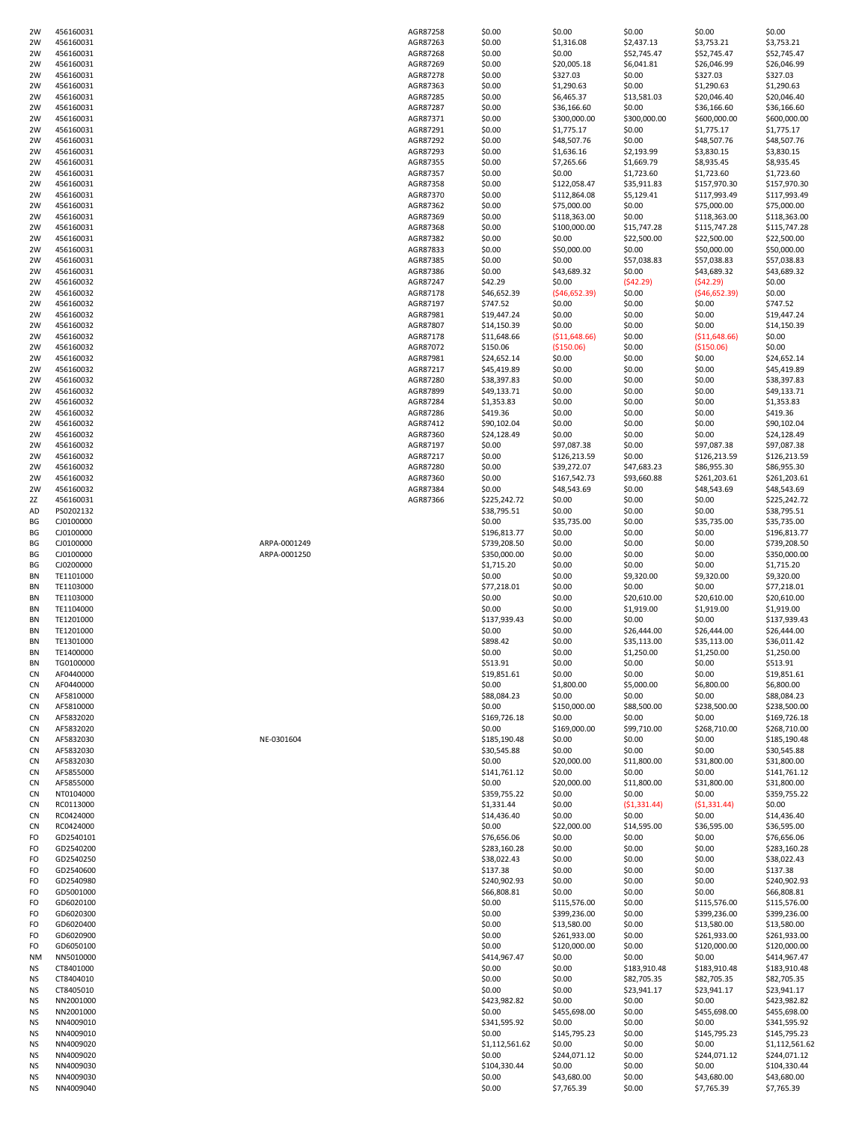| 2W                     | 456160031              |              | AGR87258 | \$0.00           | \$0.00                    | \$0.00           | \$0.00                    | \$0.00                    |
|------------------------|------------------------|--------------|----------|------------------|---------------------------|------------------|---------------------------|---------------------------|
| 2W                     | 456160031              |              | AGR87263 | \$0.00           | \$1,316.08                | \$2,437.13       | \$3,753.21                | \$3,753.21                |
| 2W                     | 456160031              |              | AGR87268 | \$0.00           | \$0.00                    | \$52,745.47      | \$52,745.47               | \$52,745.47               |
| 2W                     | 456160031              |              | AGR87269 | \$0.00           | \$20,005.18               | \$6,041.81       | \$26,046.99               | \$26,046.99               |
| 2W                     | 456160031              |              | AGR87278 | \$0.00           | \$327.03                  | \$0.00           | \$327.03                  | \$327.03                  |
| 2W                     | 456160031              |              | AGR87363 | \$0.00           | \$1,290.63                | \$0.00           | \$1,290.63                | \$1,290.63                |
| 2W                     | 456160031              |              | AGR87285 | \$0.00           | \$6,465.37                | \$13,581.03      | \$20,046.40               | \$20,046.40               |
| 2W                     |                        |              |          |                  |                           |                  |                           |                           |
|                        | 456160031              |              | AGR87287 | \$0.00           | \$36,166.60               | \$0.00           | \$36,166.60               | \$36,166.60               |
| 2W                     | 456160031              |              | AGR87371 | \$0.00           | \$300,000.00              | \$300,000.00     | \$600,000.00              | \$600,000.00              |
| 2W                     | 456160031              |              | AGR87291 | \$0.00           | \$1,775.17                | \$0.00           | \$1,775.17                | \$1,775.17                |
| 2W                     | 456160031              |              | AGR87292 | \$0.00           | \$48,507.76               | \$0.00           | \$48,507.76               | \$48,507.76               |
| 2W                     | 456160031              |              | AGR87293 | \$0.00           | \$1,636.16                | \$2,193.99       | \$3,830.15                | \$3,830.15                |
| 2W                     | 456160031              |              | AGR87355 | \$0.00           | \$7,265.66                | \$1,669.79       | \$8,935.45                | \$8,935.45                |
|                        |                        |              |          |                  |                           |                  |                           | \$1,723.60                |
| 2W                     | 456160031              |              | AGR87357 | \$0.00           | \$0.00                    | \$1,723.60       | \$1,723.60                |                           |
| 2W                     | 456160031              |              | AGR87358 | \$0.00           | \$122,058.47              | \$35,911.83      | \$157,970.30              | \$157,970.30              |
| 2W                     | 456160031              |              | AGR87370 | \$0.00           | \$112,864.08              | \$5,129.41       | \$117,993.49              | \$117,993.49              |
| 2W                     | 456160031              |              | AGR87362 | \$0.00           | \$75,000.00               | \$0.00           | \$75,000.00               | \$75,000.00               |
| 2W                     | 456160031              |              | AGR87369 | \$0.00           | \$118,363.00              | \$0.00           | \$118,363.00              | \$118,363.00              |
| 2W                     | 456160031              |              | AGR87368 | \$0.00           | \$100,000.00              | \$15,747.28      | \$115,747.28              | \$115,747.28              |
|                        | 456160031              |              | AGR87382 | \$0.00           | \$0.00                    | \$22,500.00      | \$22,500.00               | \$22,500.00               |
| 2W                     |                        |              |          |                  |                           |                  |                           |                           |
| 2W                     | 456160031              |              | AGR87833 | \$0.00           | \$50,000.00               | \$0.00           | \$50,000.00               | \$50,000.00               |
| 2W                     | 456160031              |              | AGR87385 | \$0.00           | \$0.00                    | \$57,038.83      | \$57,038.83               | \$57,038.83               |
| 2W                     | 456160031              |              | AGR87386 | \$0.00           | \$43,689.32               | \$0.00           | \$43,689.32               | \$43,689.32               |
| 2W                     | 456160032              |              | AGR87247 | \$42.29          | \$0.00                    | (542.29)         | (542.29)                  | \$0.00                    |
| 2W                     | 456160032              |              | AGR87178 | \$46,652.39      | ( \$46,652.39)            | \$0.00           | ( \$46, 652.39)           | \$0.00                    |
| 2W                     | 456160032              |              | AGR87197 | \$747.52         | \$0.00                    | \$0.00           | \$0.00                    | \$747.52                  |
|                        |                        |              |          |                  |                           |                  |                           |                           |
| 2W                     | 456160032              |              | AGR87981 | \$19,447.24      | \$0.00                    | \$0.00           | \$0.00                    | \$19,447.24               |
| 2W                     | 456160032              |              | AGR87807 | \$14,150.39      | \$0.00                    | \$0.00           | \$0.00                    | \$14,150.39               |
| 2W                     | 456160032              |              | AGR87178 | \$11,648.66      | ( \$11,648.66)            | \$0.00           | ( \$11,648.66)            | \$0.00                    |
| 2W                     | 456160032              |              | AGR87072 | \$150.06         | ( \$150.06)               | \$0.00           | (\$150.06)                | \$0.00                    |
| 2W                     | 456160032              |              | AGR87981 | \$24,652.14      | \$0.00                    | \$0.00           | \$0.00                    | \$24,652.14               |
| 2W                     | 456160032              |              | AGR87217 | \$45,419.89      | \$0.00                    | \$0.00           | \$0.00                    | \$45,419.89               |
|                        |                        |              |          |                  |                           |                  |                           |                           |
| 2W                     | 456160032              |              | AGR87280 | \$38,397.83      | \$0.00                    | \$0.00           | \$0.00                    | \$38,397.83               |
| 2W                     | 456160032              |              | AGR87899 | \$49,133.71      | \$0.00                    | \$0.00           | \$0.00                    | \$49,133.71               |
| 2W                     | 456160032              |              | AGR87284 | \$1,353.83       | \$0.00                    | \$0.00           | \$0.00                    | \$1,353.83                |
| 2W                     | 456160032              |              | AGR87286 | \$419.36         | \$0.00                    | \$0.00           | \$0.00                    | \$419.36                  |
| 2W                     | 456160032              |              | AGR87412 | \$90,102.04      | \$0.00                    | \$0.00           | \$0.00                    | \$90,102.04               |
| 2W                     | 456160032              |              | AGR87360 | \$24,128.49      | \$0.00                    | \$0.00           | \$0.00                    | \$24,128.49               |
|                        |                        |              |          |                  |                           |                  |                           |                           |
| 2W                     | 456160032              |              | AGR87197 | \$0.00           | \$97,087.38               | \$0.00           | \$97,087.38               | \$97,087.38               |
| 2W                     | 456160032              |              | AGR87217 | \$0.00           | \$126,213.59              | \$0.00           | \$126,213.59              | \$126,213.59              |
| 2W                     | 456160032              |              | AGR87280 | \$0.00           | \$39,272.07               | \$47,683.23      | \$86,955.30               | \$86,955.30               |
| 2W                     | 456160032              |              | AGR87360 | \$0.00           | \$167,542.73              | \$93,660.88      | \$261,203.61              | \$261,203.61              |
| 2W                     | 456160032              |              | AGR87384 | \$0.00           | \$48,543.69               | \$0.00           | \$48,543.69               | \$48,543.69               |
| 2Z                     | 456160031              |              | AGR87366 | \$225,242.72     | \$0.00                    | \$0.00           | \$0.00                    | \$225,242.72              |
|                        |                        |              |          |                  |                           |                  |                           |                           |
| AD                     | PS0202132              |              |          | \$38,795.51      | \$0.00                    | \$0.00           | \$0.00                    | \$38,795.51               |
| ВG                     | CJ0100000              |              |          | \$0.00           | \$35,735.00               | \$0.00           | \$35,735.00               | \$35,735.00               |
| ВG                     | CJ0100000              |              |          | \$196,813.77     | \$0.00                    | \$0.00           | \$0.00                    | \$196,813.77              |
| ВG                     | CJ0100000              | ARPA-0001249 |          | \$739,208.50     | \$0.00                    | \$0.00           | \$0.00                    | \$739,208.50              |
| ВG                     | CJ0100000              | ARPA-0001250 |          | \$350,000.00     | \$0.00                    | \$0.00           | \$0.00                    | \$350,000.00              |
| ВG                     | CJ0200000              |              |          | \$1,715.20       | \$0.00                    | \$0.00           | \$0.00                    | \$1,715.20                |
|                        |                        |              |          |                  |                           |                  |                           |                           |
| BN                     | TE1101000              |              |          | \$0.00           | \$0.00                    | \$9,320.00       | \$9,320.00                | \$9,320.00                |
| ΒN                     | TE1103000              |              |          | \$77,218.01      | \$0.00                    | \$0.00           | \$0.00                    | \$77,218.01               |
| ΒN                     | TE1103000              |              |          | \$0.00           | \$0.00                    | \$20,610.00      | \$20,610.00               | \$20,610.00               |
| ΒN                     | TE1104000              |              |          | \$0.00           | \$0.00                    | \$1,919.00       | \$1,919.00                | \$1,919.00                |
| ΒN                     | TE1201000              |              |          | \$137,939.43     | \$0.00                    | \$0.00           | \$0.00                    | \$137,939.43              |
| ΒN                     | TE1201000              |              |          | \$0.00           | \$0.00                    | \$26,444.00      | \$26,444.00               | \$26,444.00               |
| BN                     |                        |              |          | \$898.42         | \$0.00                    | \$35,113.00      |                           |                           |
|                        | TE1301000              |              |          |                  |                           |                  | \$35,113.00               | \$36,011.42               |
| BN                     | TE1400000              |              |          | \$0.00           | \$0.00                    | \$1,250.00       | \$1,250.00                | \$1,250.00                |
| BN                     | TG0100000              |              |          | \$513.91         | \$0.00                    | \$0.00           | \$0.00                    | \$513.91                  |
| CN                     | AF0440000              |              |          | \$19,851.61      | \$0.00                    | \$0.00           | \$0.00                    | \$19,851.61               |
| CN                     | AF0440000              |              |          | \$0.00           | \$1,800.00                | \$5,000.00       | \$6,800.00                | \$6,800.00                |
| CN                     | AF5810000              |              |          |                  |                           |                  |                           |                           |
| CN                     | AF5810000              |              |          |                  |                           |                  |                           |                           |
|                        |                        |              |          | \$88,084.23      | \$0.00                    | \$0.00           | \$0.00                    | \$88,084.23               |
| CN                     |                        |              |          | \$0.00           | \$150,000.00              | \$88,500.00      | \$238,500.00              | \$238,500.00              |
| CN                     | AF5832020              |              |          | \$169,726.18     | \$0.00                    | \$0.00           | \$0.00                    | \$169,726.18              |
| CN                     | AF5832020              |              |          | \$0.00           | \$169,000.00              | \$99,710.00      | \$268,710.00              | \$268,710.00              |
| CN                     | AF5832030              | NE-0301604   |          | \$185,190.48     | \$0.00                    | \$0.00           | \$0.00                    | \$185,190.48              |
|                        | AF5832030              |              |          | \$30,545.88      | \$0.00                    | \$0.00           | \$0.00                    | \$30,545.88               |
| CN                     | AF5832030              |              |          | \$0.00           | \$20,000.00               | \$11,800.00      | \$31,800.00               | \$31,800.00               |
|                        |                        |              |          |                  |                           |                  |                           |                           |
| CN                     | AF5855000              |              |          | \$141,761.12     | \$0.00                    | \$0.00           | \$0.00                    | \$141,761.12              |
| CN                     | AF5855000              |              |          | \$0.00           | \$20,000.00               | \$11,800.00      | \$31,800.00               | \$31,800.00               |
| CN                     | NT0104000              |              |          | \$359,755.22     | \$0.00                    | \$0.00           | \$0.00                    | \$359,755.22              |
| CN                     | RC0113000              |              |          | \$1,331.44       | \$0.00                    | (51, 331.44)     | (51, 331.44)              | \$0.00                    |
| CN                     | RC0424000              |              |          | \$14,436.40      | \$0.00                    | \$0.00           | \$0.00                    | \$14,436.40               |
| CN                     | RC0424000              |              |          | \$0.00           | \$22,000.00               | \$14,595.00      | \$36,595.00               | \$36,595.00               |
| FO                     |                        |              |          |                  |                           |                  |                           |                           |
|                        | GD2540101              |              |          | \$76,656.06      | \$0.00                    | \$0.00           | \$0.00                    | \$76,656.06               |
| FO                     | GD2540200              |              |          | \$283,160.28     | \$0.00                    | \$0.00           | \$0.00                    | \$283,160.28              |
| FO                     | GD2540250              |              |          | \$38,022.43      | \$0.00                    | \$0.00           | \$0.00                    | \$38,022.43               |
| FO                     | GD2540600              |              |          | \$137.38         | \$0.00                    | \$0.00           | \$0.00                    | \$137.38                  |
| FO                     | GD2540980              |              |          | \$240,902.93     | \$0.00                    | \$0.00           | \$0.00                    | \$240,902.93              |
| FO                     | GD5001000              |              |          | \$66,808.81      | \$0.00                    | \$0.00           | \$0.00                    | \$66,808.81               |
| FO                     | GD6020100              |              |          | \$0.00           |                           | \$0.00           |                           | \$115,576.00              |
|                        |                        |              |          |                  | \$115,576.00              |                  | \$115,576.00              |                           |
| FO                     | GD6020300              |              |          | \$0.00           | \$399,236.00              | \$0.00           | \$399,236.00              | \$399,236.00              |
| FO                     | GD6020400              |              |          | \$0.00           | \$13,580.00               | \$0.00           | \$13,580.00               | \$13,580.00               |
| FO                     | GD6020900              |              |          | \$0.00           | \$261,933.00              | \$0.00           | \$261,933.00              | \$261,933.00              |
| FO                     | GD6050100              |              |          | \$0.00           | \$120,000.00              | \$0.00           | \$120,000.00              | \$120,000.00              |
| <b>NM</b>              | NN5010000              |              |          | \$414,967.47     | \$0.00                    | \$0.00           | \$0.00                    | \$414,967.47              |
|                        |                        |              |          |                  |                           |                  |                           |                           |
| <b>NS</b>              | CT8401000              |              |          | \$0.00           | \$0.00                    | \$183,910.48     | \$183,910.48              | \$183,910.48              |
| <b>NS</b>              | CT8404010              |              |          | \$0.00           | \$0.00                    | \$82,705.35      | \$82,705.35               | \$82,705.35               |
| <b>NS</b>              | CT8405010              |              |          | \$0.00           | \$0.00                    | \$23,941.17      | \$23,941.17               | \$23,941.17               |
| <b>NS</b>              | NN2001000              |              |          | \$423,982.82     | \$0.00                    | \$0.00           | \$0.00                    | \$423,982.82              |
| NS                     | NN2001000              |              |          | \$0.00           | \$455,698.00              | \$0.00           | \$455,698.00              | \$455,698.00              |
| <b>NS</b>              | NN4009010              |              |          | \$341,595.92     | \$0.00                    | \$0.00           | \$0.00                    | \$341,595.92              |
| <b>NS</b>              | NN4009010              |              |          | \$0.00           | \$145,795.23              | \$0.00           | \$145,795.23              | \$145,795.23              |
|                        |                        |              |          |                  |                           |                  |                           |                           |
| <b>NS</b>              | NN4009020              |              |          | \$1,112,561.62   | \$0.00                    | \$0.00           | \$0.00                    | \$1,112,561.62            |
| <b>NS</b>              | NN4009020              |              |          | \$0.00           | \$244,071.12              | \$0.00           | \$244,071.12              | \$244,071.12              |
| NS                     | NN4009030              |              |          | \$104,330.44     | \$0.00                    | \$0.00           | \$0.00                    | \$104,330.44              |
| <b>NS</b><br><b>NS</b> | NN4009030<br>NN4009040 |              |          | \$0.00<br>\$0.00 | \$43,680.00<br>\$7,765.39 | \$0.00<br>\$0.00 | \$43,680.00<br>\$7,765.39 | \$43,680.00<br>\$7,765.39 |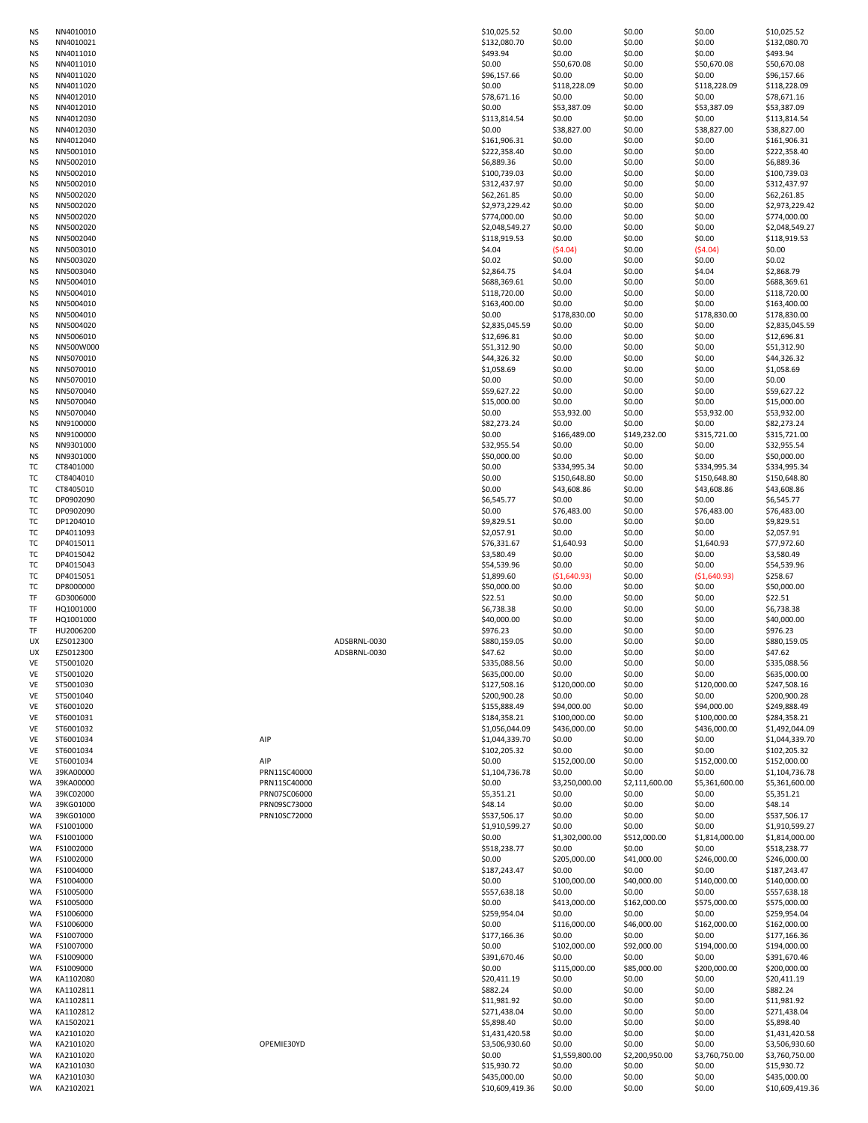| NS        |               |
|-----------|---------------|
|           | NN4010010     |
| NS        | NN4010021     |
| NS        | NN4011010     |
|           |               |
| ΝS        | NN4011010     |
| NS        | NN4011020     |
| ΝS        | NN4011020     |
| NS        | NN4012010     |
| NS        | NN4012010     |
| NS        | NN4012030     |
|           |               |
| NS        | NN4012030     |
| NS        | NN4012040     |
| ΝS        | NN5001010     |
| NS        | NN5002010     |
| NS        | NN5002010     |
| NS        | NN5002010     |
| NS        |               |
|           | NN5002020     |
| NS        | NN5002020     |
| NS        | NN5002020     |
| ΝS        | NN5002020     |
| ΝS        | NN5002040     |
| NS        | NN5003010     |
| ΝS        | NN5003020     |
|           |               |
| ΝS        | NN5003040     |
| NS        | NN5004010     |
| NS        | NN5004010     |
| NS        | NN5004010     |
| NS        | NN5004010     |
| NS        | NN5004020     |
|           |               |
| NS        | NN5006010     |
| ΝS        | NN500W000     |
| NS        | NN5070010     |
| NS        | NN5070010     |
| NS        | NN5070010     |
| NS        | NN5070040     |
| NS        | NN5070040     |
| NS        | NN5070040     |
|           |               |
| NS        | NN9100000     |
| ΝS        | NN9100000     |
| NS        | NN9301000     |
| <b>NS</b> | NN9301000     |
| тс        | T8401000<br>C |
| тс        | C<br>T8404010 |
| т         | T8405010<br>C |
| ТΟ        | DP0902090     |
| т         | DP0902090     |
| T         | DP1204010     |
| т         | DP4011093     |
|           | DP4015011     |
| T(<br>ΤC  |               |
|           | DP4015042     |
| т         | DP4015043     |
| тс        | DP4015051     |
| т         | DP8000000     |
|           |               |
| TF        | GD3006000     |
| TF        | HQ1001000     |
| TF        | HQ1001000     |
| TF        | HU2006200     |
| UX        | EZ5012300     |
|           | c<br>1        |
| UΧ        |               |
| VE        | ST5001020     |
| VE        | ST5001020     |
| VE        | ST5001030     |
| VE        | ST5001040     |
| VE        | ST6001020     |
| VE        | ST6001031     |
| VE        | ST6001032     |
| VE        | ST6001034     |
| VE        | ST6001034     |
| VE        | ST6001034     |
| WA        | 39KA00000     |
| WA        | 39KA00000     |
|           |               |
| WA        | 39KC02000     |
| WA        | 39KG01000     |
| WA        | 39KG01000     |
| WA        | FS1001000     |
| WA        | FS1001000     |
| WA        | FS1002000     |
| WA        | FS1002000     |
| WA        | FS1004000     |
| WA        | FS1004000     |
| WA        | FS1005000     |
| WA        | FS1005000     |
| WA        | FS1006000     |
| WA        | FS1006000     |
|           |               |
| WA        | FS1007000     |
| WA        | FS1007000     |
| WA        | FS1009000     |
| WA        | FS1009000     |
| WA        | KA1102080     |
| WA        | KA1102811     |
| WA        | KA1102811     |
| WA        | KA1102812     |
| WA        | KA1502021     |
| WA        | KA2101020     |
| WA        | KA2101020     |
| WA        | KA2101020     |
| WA        | KA2101030     |
| WA<br>WA  | KA2101030     |

| ADSBRNL-0030 |  |
|--------------|--|
| ADSBRNL-0030 |  |

| ΝS<br>ΝS<br>NS |                        |              |              | \$10,025.52     | \$0.00         | \$0.00         | \$0.00         | \$10,025.52     |
|----------------|------------------------|--------------|--------------|-----------------|----------------|----------------|----------------|-----------------|
|                | NN4010010<br>NN4010021 |              |              | \$132,080.70    | \$0.00         | \$0.00         | \$0.00         | \$132,080.70    |
|                |                        |              |              |                 |                |                |                |                 |
|                | NN4011010              |              |              | \$493.94        | \$0.00         | \$0.00         | \$0.00         | \$493.94        |
| ΝS             | NN4011010              |              |              | \$0.00          | \$50,670.08    | \$0.00         | \$50,670.08    | \$50,670.08     |
| ΝS             | NN4011020              |              |              | \$96,157.66     | \$0.00         | \$0.00         | \$0.00         | \$96,157.66     |
| ΝS             | NN4011020              |              |              | \$0.00          | \$118,228.09   | \$0.00         | \$118,228.09   | \$118,228.09    |
|                |                        |              |              |                 |                |                |                |                 |
| ΝS             | NN4012010              |              |              | \$78,671.16     | \$0.00         | \$0.00         | \$0.00         | \$78,671.16     |
| ΝS             | NN4012010              |              |              | \$0.00          | \$53,387.09    | \$0.00         | \$53,387.09    | \$53,387.09     |
| ΝS             | NN4012030              |              |              | \$113,814.54    | \$0.00         | \$0.00         | \$0.00         | \$113,814.54    |
|                | NN4012030              |              |              | \$0.00          | \$38,827.00    | \$0.00         |                | \$38,827.00     |
| ΝS             |                        |              |              |                 |                |                | \$38,827.00    |                 |
| ΝS             | NN4012040              |              |              | \$161,906.31    | \$0.00         | \$0.00         | \$0.00         | \$161,906.31    |
| ΝS             | NN5001010              |              |              | \$222,358.40    | \$0.00         | \$0.00         | \$0.00         | \$222,358.40    |
| ΝS             | NN5002010              |              |              | \$6,889.36      | \$0.00         | \$0.00         | \$0.00         | \$6,889.36      |
|                |                        |              |              |                 |                |                |                |                 |
| ΝS             | NN5002010              |              |              | \$100,739.03    | \$0.00         | \$0.00         | \$0.00         | \$100,739.03    |
| ΝS             | NN5002010              |              |              | \$312,437.97    | \$0.00         | \$0.00         | \$0.00         | \$312,437.97    |
| ΝS             | NN5002020              |              |              | \$62,261.85     | \$0.00         | \$0.00         | \$0.00         | \$62,261.85     |
|                | NN5002020              |              |              | \$2,973,229.42  |                |                |                |                 |
| ΝS             |                        |              |              |                 | \$0.00         | \$0.00         | \$0.00         | \$2,973,229.42  |
| ΝS             | NN5002020              |              |              | \$774,000.00    | \$0.00         | \$0.00         | \$0.00         | \$774,000.00    |
| ΝS             | NN5002020              |              |              | \$2,048,549.27  | \$0.00         | \$0.00         | \$0.00         | \$2,048,549.27  |
| ΝS             | NN5002040              |              |              | \$118,919.53    | \$0.00         | \$0.00         | \$0.00         | \$118,919.53    |
|                |                        |              |              |                 |                |                |                |                 |
| ΝS             | NN5003010              |              |              | \$4.04          | (54.04)        | \$0.00         | (54.04)        | \$0.00          |
| ΝS             | NN5003020              |              |              | \$0.02          | \$0.00         | \$0.00         | \$0.00         | \$0.02          |
| ΝS             | NN5003040              |              |              | \$2,864.75      | \$4.04         | \$0.00         | \$4.04         | \$2,868.79      |
| ΝS             | NN5004010              |              |              | \$688,369.61    | \$0.00         | \$0.00         | \$0.00         | \$688,369.61    |
|                |                        |              |              |                 |                |                |                |                 |
| ΝS             | NN5004010              |              |              | \$118,720.00    | \$0.00         | \$0.00         | \$0.00         | \$118,720.00    |
| ΝS             | NN5004010              |              |              | \$163,400.00    | \$0.00         | \$0.00         | \$0.00         | \$163,400.00    |
| ΝS             | NN5004010              |              |              | \$0.00          | \$178,830.00   | \$0.00         | \$178,830.00   | \$178,830.00    |
| ΝS             |                        |              |              |                 |                | \$0.00         | \$0.00         |                 |
|                | NN5004020              |              |              | \$2,835,045.59  | \$0.00         |                |                | \$2,835,045.59  |
| ΝS             | NN5006010              |              |              | \$12,696.81     | \$0.00         | \$0.00         | \$0.00         | \$12,696.81     |
| ΝS             | NN500W000              |              |              | \$51,312.90     | \$0.00         | \$0.00         | \$0.00         | \$51,312.90     |
| ΝS             | NN5070010              |              |              | \$44,326.32     | \$0.00         | \$0.00         | \$0.00         | \$44,326.32     |
|                | NN5070010              |              |              |                 |                |                |                |                 |
| ΝS             |                        |              |              | \$1,058.69      | \$0.00         | \$0.00         | \$0.00         | \$1,058.69      |
| ΝS             | NN5070010              |              |              | \$0.00          | \$0.00         | \$0.00         | \$0.00         | \$0.00          |
| ΝS             | NN5070040              |              |              | \$59,627.22     | \$0.00         | \$0.00         | \$0.00         | \$59,627.22     |
| NS             | NN5070040              |              |              | \$15,000.00     | \$0.00         | \$0.00         | \$0.00         | \$15,000.00     |
|                |                        |              |              |                 |                |                |                |                 |
| ΝS             | NN5070040              |              |              | \$0.00          | \$53,932.00    | \$0.00         | \$53,932.00    | \$53,932.00     |
| ΝS             | NN9100000              |              |              | \$82,273.24     | \$0.00         | \$0.00         | \$0.00         | \$82,273.24     |
| ΝS             | NN9100000              |              |              | \$0.00          | \$166,489.00   | \$149,232.00   | \$315,721.00   | \$315,721.00    |
|                |                        |              |              |                 |                |                |                |                 |
| ΝS             | NN9301000              |              |              | \$32,955.54     | \$0.00         | \$0.00         | \$0.00         | \$32,955.54     |
| ΝS             | NN9301000              |              |              | \$50,000.00     | \$0.00         | \$0.00         | \$0.00         | \$50,000.00     |
| ТC             | CT8401000              |              |              | \$0.00          | \$334,995.34   | \$0.00         | \$334,995.34   | \$334,995.34    |
| тс             | CT8404010              |              |              | \$0.00          | \$150,648.80   | \$0.00         | \$150,648.80   | \$150,648.80    |
|                |                        |              |              |                 |                |                |                |                 |
| тс             | CT8405010              |              |              | \$0.00          | \$43,608.86    | \$0.00         | \$43,608.86    | \$43,608.86     |
| тс             | DP0902090              |              |              | \$6,545.77      | \$0.00         | \$0.00         | \$0.00         | \$6,545.77      |
| ТC             | DP0902090              |              |              | \$0.00          | \$76,483.00    | \$0.00         | \$76,483.00    | \$76,483.00     |
|                |                        |              |              |                 |                |                |                |                 |
| тс             | DP1204010              |              |              | \$9,829.51      | \$0.00         | \$0.00         | \$0.00         | \$9,829.51      |
| ТC             | DP4011093              |              |              | \$2,057.91      | \$0.00         | \$0.00         | \$0.00         | \$2,057.91      |
| ТC             | DP4015011              |              |              | \$76,331.67     | \$1,640.93     | \$0.00         | \$1,640.93     | \$77,972.60     |
| ТC             | DP4015042              |              |              | \$3,580.49      | \$0.00         | \$0.00         | \$0.00         | \$3,580.49      |
|                |                        |              |              |                 |                |                |                |                 |
| ТC             | DP4015043              |              |              | \$54,539.96     | \$0.00         | \$0.00         | \$0.00         | \$54,539.96     |
| тс             | DP4015051              |              |              | \$1,899.60      | ( \$1,640.93)  | \$0.00         | ( \$1,640.93)  | \$258.67        |
| ТC             | DP8000000              |              |              | \$50,000.00     | \$0.00         | \$0.00         | \$0.00         | \$50,000.00     |
|                | GD3006000              |              |              |                 |                |                |                |                 |
| TF             |                        |              |              | \$22.51         | \$0.00         | \$0.00         | \$0.00         | \$22.51         |
| TF             | HQ1001000              |              |              | \$6,738.38      | \$0.00         | \$0.00         | \$0.00         | \$6,738.38      |
| TF             | HQ1001000              |              |              | \$40,000.00     | \$0.00         | \$0.00         | \$0.00         | \$40,000.00     |
| TF             | HU2006200              |              |              | \$976.23        | \$0.00         | \$0.00         | \$0.00         | \$976.23        |
|                |                        |              |              |                 |                |                |                |                 |
| UX             | EZ5012300              |              | ADSBRNL-0030 | \$880,159.05    | \$0.00         | \$0.00         | \$0.00         | \$880,159.05    |
| UX             | EZ5012300              |              | ADSBRNL-0030 | \$47.62         | \$0.00         | \$0.00         | \$0.00         | \$47.62         |
| VE             | ST5001020              |              |              | \$335,088.56    | \$0.00         | \$0.00         | \$0.00         | \$335,088.56    |
|                |                        |              |              |                 |                |                |                |                 |
| VE             | ST5001020              |              |              | \$635,000.00    | \$0.00         | \$0.00         | \$0.00         | \$635,000.00    |
| VE             | ST5001030              |              |              | \$127,508.16    | \$120,000.00   | \$0.00         | \$120,000.00   | \$247,508.16    |
| VE             | ST5001040              |              |              | \$200,900.28    | \$0.00         | \$0.00         | \$0.00         | \$200,900.28    |
| VE             | ST6001020              |              |              | \$155,888.49    | \$94,000.00    | \$0.00         | \$94,000.00    | \$249,888.49    |
|                |                        |              |              |                 |                |                |                |                 |
| VE             | ST6001031              |              |              | \$184,358.21    | \$100,000.00   | \$0.00         | \$100,000.00   | \$284,358.21    |
| VE             | ST6001032              |              |              | \$1,056,044.09  | \$436,000.00   | \$0.00         | \$436,000.00   | \$1,492,044.09  |
| VE             | ST6001034              | AIP          |              | \$1,044,339.70  | \$0.00         | \$0.00         | \$0.00         | \$1,044,339.70  |
| VE             | ST6001034              |              |              | \$102,205.32    | \$0.00         | \$0.00         | \$0.00         | \$102,205.32    |
|                |                        |              |              |                 |                |                |                |                 |
| VE             | ST6001034              | AIP          |              | \$0.00          | \$152,000.00   | \$0.00         | \$152,000.00   | \$152,000.00    |
| WA             | 39KA00000              | PRN11SC40000 |              | \$1,104,736.78  | \$0.00         | \$0.00         | \$0.00         | \$1,104,736.78  |
| WA             | 39KA00000              | PRN11SC40000 |              | \$0.00          | \$3,250,000.00 | \$2,111,600.00 | \$5,361,600.00 | \$5,361,600.00  |
| WA             | 39KC02000              | PRN07SC06000 |              | \$5,351.21      | \$0.00         | \$0.00         | \$0.00         | \$5,351.21      |
|                |                        |              |              |                 |                |                |                |                 |
| WA             | 39KG01000              | PRN09SC73000 |              | \$48.14         | \$0.00         | \$0.00         | \$0.00         | \$48.14         |
|                | 39KG01000              | PRN10SC72000 |              | \$537,506.17    | \$0.00         | \$0.00         | \$0.00         | \$537,506.17    |
| WA             | FS1001000              |              |              |                 |                | \$0.00         | \$0.00         | \$1,910,599.27  |
|                |                        |              |              |                 |                |                |                | \$1,814,000.00  |
| WA             |                        |              |              | \$1,910,599.27  | \$0.00         |                |                |                 |
| WA             | FS1001000              |              |              | \$0.00          | \$1,302,000.00 | \$512,000.00   | \$1,814,000.00 |                 |
| WA             | FS1002000              |              |              | \$518,238.77    | \$0.00         | \$0.00         | \$0.00         | \$518,238.77    |
| WA             | FS1002000              |              |              | \$0.00          | \$205,000.00   | \$41,000.00    | \$246,000.00   | \$246,000.00    |
|                |                        |              |              |                 |                |                |                |                 |
| WA             | FS1004000              |              |              | \$187,243.47    | \$0.00         | \$0.00         | \$0.00         | \$187,243.47    |
| WA             | FS1004000              |              |              | \$0.00          | \$100,000.00   | \$40,000.00    | \$140,000.00   | \$140,000.00    |
| WA             | FS1005000              |              |              | \$557,638.18    | \$0.00         | \$0.00         | \$0.00         | \$557,638.18    |
| WA             | FS1005000              |              |              | \$0.00          | \$413,000.00   | \$162,000.00   | \$575,000.00   | \$575,000.00    |
|                |                        |              |              |                 |                |                |                |                 |
| WA             | FS1006000              |              |              | \$259,954.04    | \$0.00         | \$0.00         | \$0.00         | \$259,954.04    |
| WA             | FS1006000              |              |              | \$0.00          | \$116,000.00   | \$46,000.00    | \$162,000.00   | \$162,000.00    |
| WA             | FS1007000              |              |              | \$177,166.36    | \$0.00         | \$0.00         | \$0.00         | \$177,166.36    |
|                |                        |              |              |                 |                |                |                |                 |
| WA             | FS1007000              |              |              | \$0.00          | \$102,000.00   | \$92,000.00    | \$194,000.00   | \$194,000.00    |
| WA             | FS1009000              |              |              | \$391,670.46    | \$0.00         | \$0.00         | \$0.00         | \$391,670.46    |
| WA             | FS1009000              |              |              | \$0.00          | \$115,000.00   | \$85,000.00    | \$200,000.00   | \$200,000.00    |
|                |                        |              |              |                 |                |                |                |                 |
| WA             | KA1102080              |              |              | \$20,411.19     | \$0.00         | \$0.00         | \$0.00         | \$20,411.19     |
| WA             | KA1102811              |              |              | \$882.24        | \$0.00         | \$0.00         | \$0.00         | \$882.24        |
| WA             | KA1102811              |              |              | \$11,981.92     | \$0.00         | \$0.00         | \$0.00         | \$11,981.92     |
| WA             | KA1102812              |              |              | \$271,438.04    | \$0.00         | \$0.00         | \$0.00         | \$271,438.04    |
|                |                        |              |              |                 |                |                |                |                 |
| WA             | KA1502021              |              |              | \$5,898.40      | \$0.00         | \$0.00         | \$0.00         | \$5,898.40      |
| WA             | KA2101020              |              |              | \$1,431,420.58  | \$0.00         | \$0.00         | \$0.00         | \$1,431,420.58  |
| WA             | KA2101020              | OPEMIE30YD   |              | \$3,506,930.60  | \$0.00         | \$0.00         | \$0.00         | \$3,506,930.60  |
|                |                        |              |              |                 |                |                |                |                 |
| WA             | KA2101020              |              |              | \$0.00          | \$1,559,800.00 | \$2,200,950.00 | \$3,760,750.00 | \$3,760,750.00  |
| WA             | KA2101030              |              |              | \$15,930.72     | \$0.00         | \$0.00         | \$0.00         | \$15,930.72     |
| WA             | KA2101030              |              |              | \$435,000.00    | \$0.00         | \$0.00         | \$0.00         | \$435,000.00    |
| WA             | KA2102021              |              |              | \$10,609,419.36 | \$0.00         | \$0.00         | \$0.00         | \$10,609,419.36 |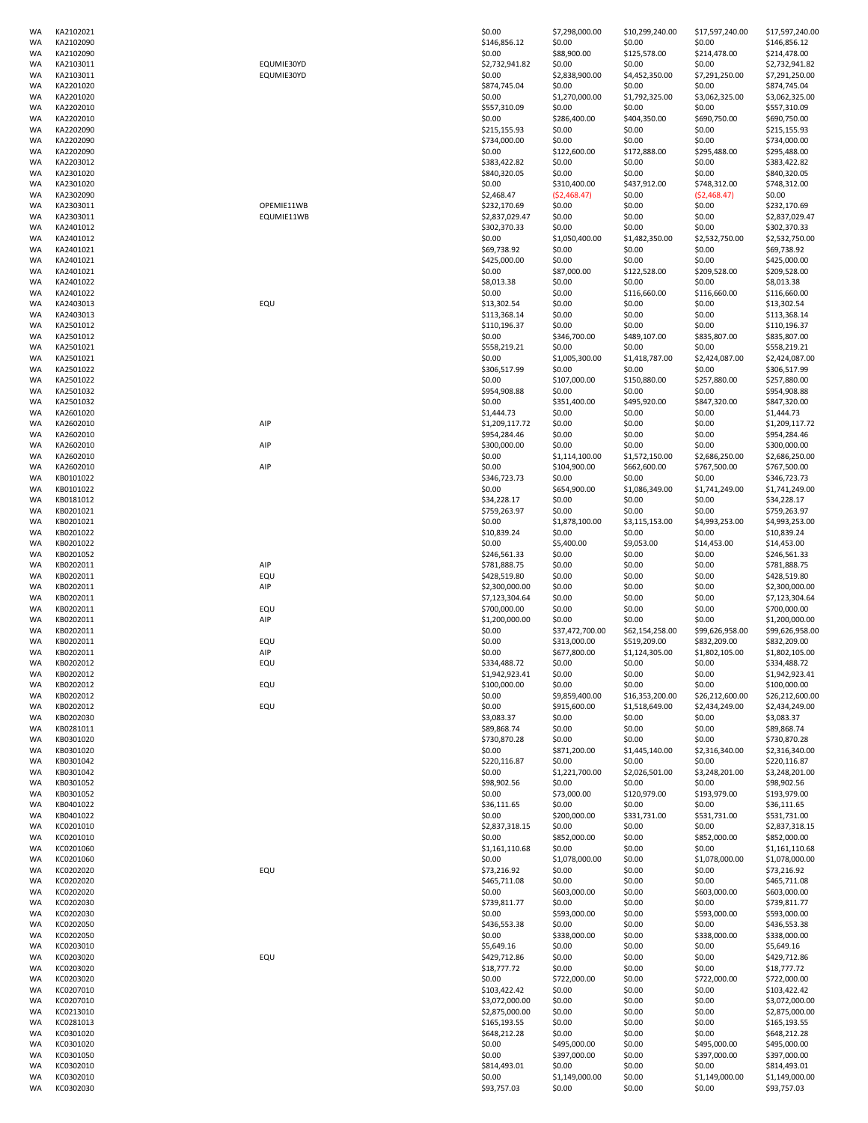|          | KA2102021              |            | \$0.00                | \$7,298,000.00           | \$10,299,240.00  | \$17,597,240.00          | \$17,597,240.00               |
|----------|------------------------|------------|-----------------------|--------------------------|------------------|--------------------------|-------------------------------|
| WA       | KA2102090              |            | \$146,856.12          | \$0.00                   | \$0.00           | \$0.00                   | \$146,856.12                  |
| WA       | KA2102090              |            | \$0.00                | \$88,900.00              | \$125,578.00     | \$214,478.00             | \$214,478.00                  |
| WA       | KA2103011              | EQUMIE30YD | \$2,732,941.82        | \$0.00                   | \$0.00           | \$0.00                   | \$2,732,941.82                |
| WA       | KA2103011              | EQUMIE30YD | \$0.00                | \$2,838,900.00           | \$4,452,350.00   | \$7,291,250.00           | \$7,291,250.00                |
| WA       | KA2201020              |            | \$874,745.04          | \$0.00                   | \$0.00           | \$0.00                   | \$874,745.04                  |
| WA       | KA2201020              |            | \$0.00                | \$1,270,000.00           | \$1,792,325.00   | \$3,062,325.00           | \$3,062,325.00                |
| WA       | KA2202010              |            | \$557,310.09          | \$0.00                   | \$0.00           | \$0.00                   | \$557,310.09                  |
| WA       | KA2202010              |            | \$0.00                | \$286,400.00             | \$404,350.00     | \$690,750.00             | \$690,750.00                  |
|          |                        |            |                       |                          | \$0.00           |                          |                               |
| WA       | KA2202090              |            | \$215,155.93          | \$0.00                   |                  | \$0.00                   | \$215,155.93                  |
| WA       | KA2202090              |            | \$734,000.00          | \$0.00                   | \$0.00           | \$0.00                   | \$734,000.00                  |
| WA       | KA2202090              |            | \$0.00                | \$122,600.00             | \$172,888.00     | \$295,488.00             | \$295,488.00                  |
| WA       | KA2203012              |            | \$383,422.82          | \$0.00                   | \$0.00           | \$0.00                   | \$383,422.82                  |
| WA       | KA2301020              |            | \$840,320.05          | \$0.00                   | \$0.00           | \$0.00                   | \$840,320.05                  |
| WA       | KA2301020              |            | \$0.00                | \$310,400.00             | \$437,912.00     | \$748,312.00             | \$748,312.00                  |
| WA       | KA2302090              |            | \$2,468.47            | (\$2,468.47)             | \$0.00           | (52, 468.47)             | \$0.00                        |
| WA       | KA2303011              | OPEMIE11WB | \$232,170.69          | \$0.00                   | \$0.00           | \$0.00                   | \$232,170.69                  |
| WA       | KA2303011              | EQUMIE11WB | \$2,837,029.47        | \$0.00                   | \$0.00           | \$0.00                   | \$2,837,029.47                |
| WA       | KA2401012              |            | \$302,370.33          | \$0.00                   | \$0.00           | \$0.00                   | \$302,370.33                  |
| WA       | KA2401012              |            | \$0.00                | \$1,050,400.00           | \$1,482,350.00   | \$2,532,750.00           | \$2,532,750.00                |
| WA       | KA2401021              |            | \$69,738.92           | \$0.00                   | \$0.00           | \$0.00                   | \$69,738.92                   |
|          |                        |            |                       |                          |                  |                          |                               |
| WA       | KA2401021              |            | \$425,000.00          | \$0.00                   | \$0.00           | \$0.00                   | \$425,000.00                  |
| WA       | KA2401021              |            | \$0.00                | \$87,000.00              | \$122,528.00     | \$209,528.00             | \$209,528.00                  |
| WA       | KA2401022              |            | \$8,013.38            | \$0.00                   | \$0.00           | \$0.00                   | \$8,013.38                    |
| WA       | KA2401022              |            | \$0.00                | \$0.00                   | \$116,660.00     | \$116,660.00             | \$116,660.00                  |
| WA       | KA2403013              | EQU        | \$13,302.54           | \$0.00                   | \$0.00           | \$0.00                   | \$13,302.54                   |
| WA       | KA2403013              |            | \$113,368.14          | \$0.00                   | \$0.00           | \$0.00                   | \$113,368.14                  |
| WA       | KA2501012              |            | \$110,196.37          | \$0.00                   | \$0.00           | \$0.00                   | \$110,196.37                  |
| WA       | KA2501012              |            | \$0.00                | \$346,700.00             | \$489,107.00     | \$835,807.00             | \$835,807.00                  |
| WA       | KA2501021              |            | \$558,219.21          | \$0.00                   | \$0.00           | \$0.00                   | \$558,219.21                  |
| WA       | KA2501021              |            | \$0.00                | \$1,005,300.00           | \$1,418,787.00   | \$2,424,087.00           | \$2,424,087.00                |
| WA       | KA2501022              |            | \$306,517.99          | \$0.00                   | \$0.00           | \$0.00                   | \$306,517.99                  |
| WA       | KA2501022              |            | \$0.00                | \$107,000.00             | \$150,880.00     | \$257,880.00             | \$257,880.00                  |
| WA       | KA2501032              |            | \$954,908.88          | \$0.00                   | \$0.00           | \$0.00                   | \$954,908.88                  |
|          |                        |            |                       |                          |                  |                          |                               |
| WA       | KA2501032              |            | \$0.00                | \$351,400.00             | \$495,920.00     | \$847,320.00             | \$847,320.00                  |
| WA       | KA2601020              |            | \$1,444.73            | \$0.00                   | \$0.00           | \$0.00                   | \$1,444.73                    |
| WA       | KA2602010              | AIP        | \$1,209,117.72        | \$0.00                   | \$0.00           | \$0.00                   | \$1,209,117.72                |
| WA       | KA2602010              |            | \$954,284.46          | \$0.00                   | \$0.00           | \$0.00                   | \$954,284.46                  |
| WA       | KA2602010              | AIP        | \$300,000.00          | \$0.00                   | \$0.00           | \$0.00                   | \$300,000.00                  |
| WA       | KA2602010              |            | \$0.00                | \$1,114,100.00           | \$1,572,150.00   | \$2,686,250.00           | \$2,686,250.00                |
| WA       | KA2602010              | AIP        | \$0.00                | \$104,900.00             | \$662,600.00     | \$767,500.00             | \$767,500.00                  |
| WA       | KB0101022              |            | \$346,723.73          | \$0.00                   | \$0.00           | \$0.00                   | \$346,723.73                  |
| WA       | KB0101022              |            | \$0.00                | \$654,900.00             | \$1,086,349.00   | \$1,741,249.00           | \$1,741,249.00                |
| WA       | KB0181012              |            | \$34,228.17           | \$0.00                   | \$0.00           | \$0.00                   | \$34,228.17                   |
| WA       | KB0201021              |            | \$759,263.97          | \$0.00                   | \$0.00           | \$0.00                   | \$759,263.97                  |
| WA       | KB0201021              |            | \$0.00                | \$1,878,100.00           | \$3,115,153.00   | \$4,993,253.00           | \$4,993,253.00                |
| WA       | KB0201022              |            | \$10,839.24           | \$0.00                   | \$0.00           | \$0.00                   | \$10,839.24                   |
|          |                        |            |                       |                          |                  |                          |                               |
| WA       | KB0201022              |            | \$0.00                | \$5,400.00               | \$9,053.00       | \$14,453.00              | \$14,453.00                   |
| WA       | KB0201052              |            | \$246,561.33          | \$0.00                   | \$0.00           | \$0.00                   | \$246,561.33                  |
| WA       | KB0202011              | AIP        | \$781,888.75          | \$0.00                   | \$0.00           | \$0.00                   | \$781,888.75                  |
| WA       | KB0202011              | EQU        | \$428,519.80          | \$0.00                   | \$0.00           | \$0.00                   | \$428,519.80                  |
|          |                        |            |                       |                          |                  |                          |                               |
| WA       | KB0202011              | AIP        | \$2,300,000.00        | \$0.00                   | \$0.00           | \$0.00                   | \$2,300,000.00                |
| WA       | KB0202011              |            | \$7,123,304.64        | \$0.00                   | \$0.00           | \$0.00                   | \$7,123,304.64                |
| WA       | KB0202011              | EQU        | \$700,000.00          | \$0.00                   | \$0.00           | \$0.00                   | \$700,000.00                  |
|          |                        |            |                       |                          |                  |                          |                               |
| WA       | KB0202011              | AIP        | \$1,200,000.00        | \$0.00                   | \$0.00           | \$0.00                   | \$1,200,000.00                |
| WA       | KB0202011              |            | \$0.00                | \$37,472,700.00          | \$62,154,258.00  | \$99,626,958.00          | \$99,626,958.00               |
| WA       | KB0202011              | EQU        | \$0.00                | \$313,000.00             | \$519,209.00     | \$832,209.00             | \$832,209.00                  |
| WA       | KB0202011              | AIP        | \$0.00                | \$677,800.00             | \$1,124,305.00   | \$1,802,105.00           | \$1,802,105.00                |
| WA       | KB0202012              | EQU        | \$334,488.72          | \$0.00                   | \$0.00           | \$0.00                   | \$334,488.72                  |
| WA       | KB0202012              |            | \$1,942,923.41        | \$0.00                   | \$0.00           | \$0.00                   | \$1,942,923.41                |
| WA       | KB0202012              | EQU        | \$100,000.00          | \$0.00                   | \$0.00           | \$0.00                   | \$100,000.00                  |
| WA       | KB0202012              |            | \$0.00                | \$9,859,400.00           | \$16,353,200.00  | \$26,212,600.00          | \$26,212,600.00               |
| WA       | KB0202012              | EQU        | \$0.00                | \$915,600.00             | \$1,518,649.00   | \$2,434,249.00           | \$2,434,249.00                |
| WA       | KB0202030              |            | \$3,083.37            | \$0.00                   | \$0.00           | \$0.00                   | \$3,083.37                    |
| WA       | KB0281011              |            | \$89,868.74           | \$0.00                   | \$0.00           | \$0.00                   | \$89,868.74                   |
| WA       | KB0301020              |            | \$730,870.28          | \$0.00                   | \$0.00           | \$0.00                   | \$730,870.28                  |
| WA       | KB0301020              |            | \$0.00                | \$871,200.00             | \$1,445,140.00   | \$2,316,340.00           | \$2,316,340.00                |
| WA       | KB0301042              |            | \$220,116.87          | \$0.00                   | \$0.00           | \$0.00                   | \$220,116.87                  |
| WA       | KB0301042              |            | \$0.00                | \$1,221,700.00           | \$2,026,501.00   | \$3,248,201.00           | \$3,248,201.00                |
| WA       | KB0301052              |            | \$98,902.56           | \$0.00                   | \$0.00           | \$0.00                   | \$98,902.56                   |
| WA       | KB0301052              |            | \$0.00                | \$73,000.00              | \$120,979.00     | \$193,979.00             | \$193,979.00                  |
| WA       | KB0401022              |            | \$36,111.65           | \$0.00                   | \$0.00           | \$0.00                   | \$36,111.65                   |
| WA       | KB0401022              |            | \$0.00                | \$200,000.00             | \$331,731.00     | \$531,731.00             |                               |
|          |                        |            |                       |                          |                  |                          | \$531,731.00                  |
| WA       | KC0201010              |            | \$2,837,318.15        | \$0.00                   | \$0.00           | \$0.00                   | \$2,837,318.15                |
| WA       | KC0201010              |            | \$0.00                | \$852,000.00             | \$0.00           | \$852,000.00             | \$852,000.00                  |
| WA       | KC0201060              |            | \$1,161,110.68        | \$0.00                   | \$0.00           | \$0.00                   | \$1,161,110.68                |
| WA       | KC0201060              |            | \$0.00                | \$1,078,000.00           | \$0.00           | \$1,078,000.00           | \$1,078,000.00                |
| WA       | KC0202020              | EQU        | \$73,216.92           | \$0.00                   | \$0.00           | \$0.00                   | \$73,216.92                   |
| WA       | KC0202020              |            | \$465,711.08          | \$0.00                   | \$0.00           | \$0.00                   | \$465,711.08                  |
| WA       | KC0202020              |            | \$0.00                | \$603,000.00             | \$0.00           | \$603,000.00             | \$603,000.00                  |
| WA       | KC0202030              |            | \$739,811.77          | \$0.00                   | \$0.00           | \$0.00                   | \$739,811.77                  |
| WA       | KC0202030              |            | \$0.00                | \$593,000.00             | \$0.00           | \$593,000.00             | \$593,000.00                  |
| WA       | KC0202050              |            | \$436,553.38          | \$0.00                   | \$0.00           | \$0.00                   | \$436,553.38                  |
| WA       | KC0202050              |            | \$0.00                | \$338,000.00             | \$0.00           | \$338,000.00             | \$338,000.00                  |
| WA       | KC0203010              |            | \$5,649.16            | \$0.00                   | \$0.00           | \$0.00                   | \$5,649.16                    |
| WA       | KC0203020              | EQU        | \$429,712.86          | \$0.00                   | \$0.00           | \$0.00                   | \$429,712.86                  |
| WA       | KC0203020              |            | \$18,777.72           | \$0.00                   | \$0.00           | \$0.00                   | \$18,777.72                   |
|          |                        |            |                       |                          |                  |                          |                               |
| WA       | KC0203020              |            | \$0.00                | \$722,000.00             | \$0.00           | \$722,000.00             | \$722,000.00                  |
| WA       | KC0207010              |            | \$103,422.42          | \$0.00                   | \$0.00           | \$0.00                   | \$103,422.42                  |
| WA       | KC0207010              |            | \$3,072,000.00        | \$0.00                   | \$0.00           | \$0.00                   | \$3,072,000.00                |
| WA       | KC0213010              |            | \$2,875,000.00        | \$0.00                   | \$0.00           | \$0.00                   | \$2,875,000.00                |
| WA       | KC0281013              |            | \$165,193.55          | \$0.00                   | \$0.00           | \$0.00                   | \$165,193.55                  |
| WA       | KC0301020              |            | \$648,212.28          | \$0.00                   | \$0.00           | \$0.00                   | \$648,212.28                  |
| WA       | KC0301020              |            | \$0.00                | \$495,000.00             | \$0.00           | \$495,000.00             | \$495,000.00                  |
| WA       | KC0301050              |            | \$0.00                | \$397,000.00             | \$0.00           | \$397,000.00             | \$397,000.00                  |
| WA       | KC0302010              |            | \$814,493.01          | \$0.00                   | \$0.00           | \$0.00                   | \$814,493.01                  |
| WA<br>WA | KC0302010<br>KC0302030 |            | \$0.00<br>\$93,757.03 | \$1,149,000.00<br>\$0.00 | \$0.00<br>\$0.00 | \$1,149,000.00<br>\$0.00 | \$1,149,000.00<br>\$93,757.03 |